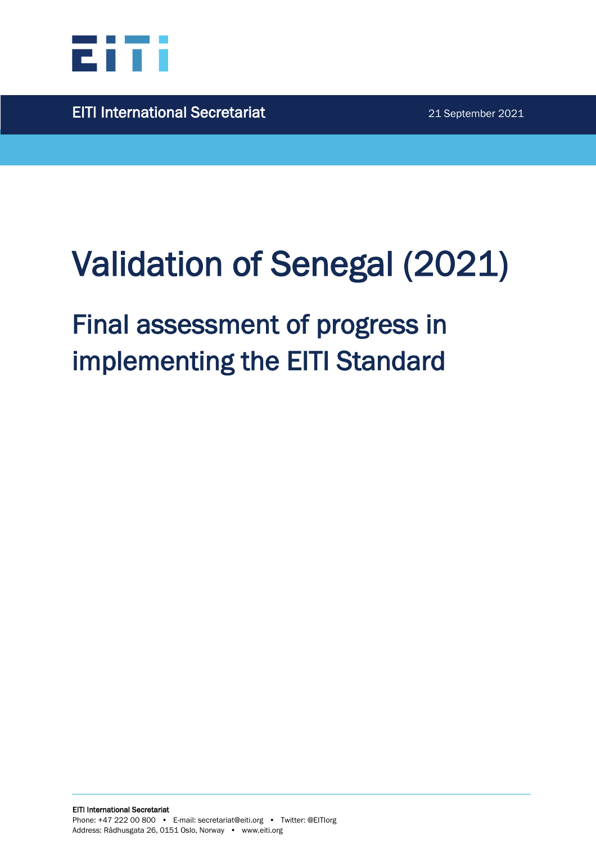

EITI International Secretariat 21 September 2021

# Validation of Senegal (2021)

## Final assessment of progress in implementing the EITI Standard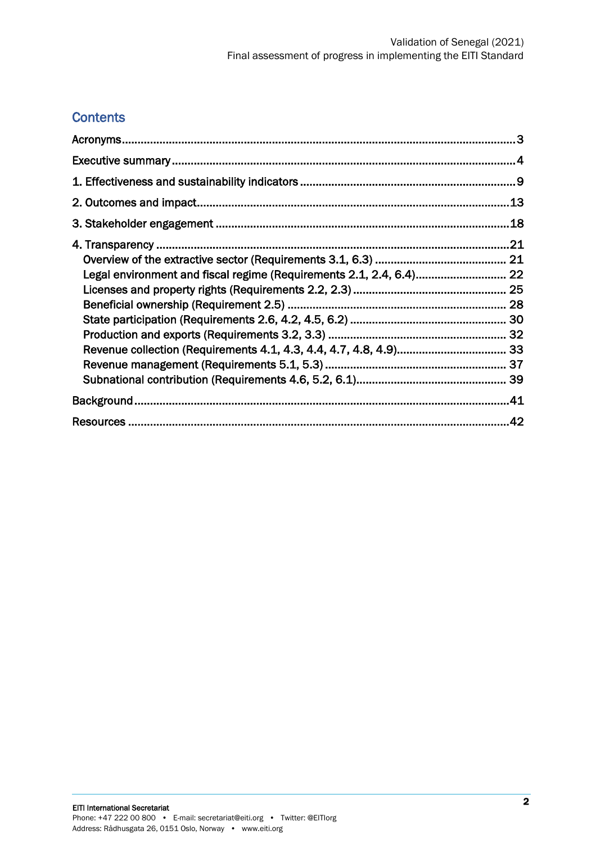## **Contents**

| Legal environment and fiscal regime (Requirements 2.1, 2.4, 6.4) 22 |  |
|---------------------------------------------------------------------|--|
|                                                                     |  |
|                                                                     |  |
|                                                                     |  |
|                                                                     |  |
|                                                                     |  |
|                                                                     |  |
|                                                                     |  |
|                                                                     |  |
|                                                                     |  |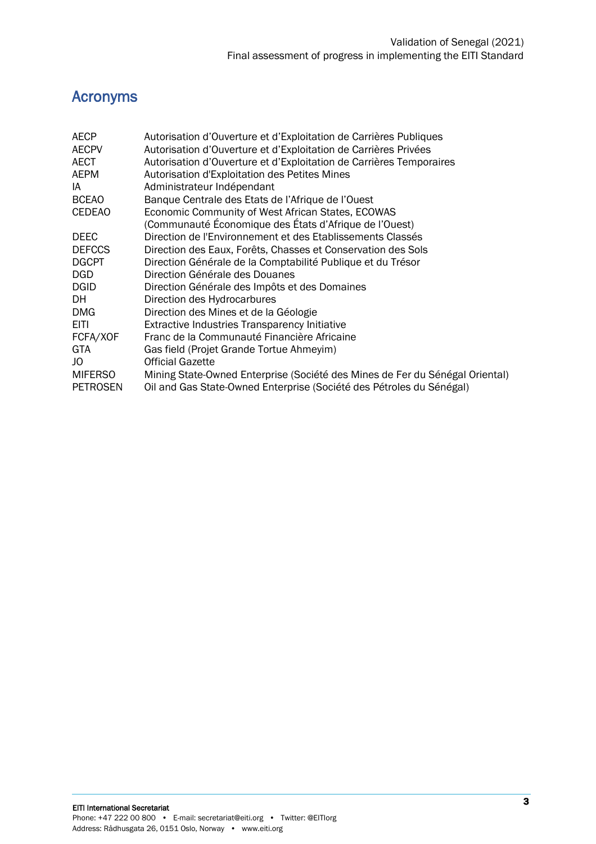## <span id="page-2-0"></span>Acronyms

| <b>AECP</b>     | Autorisation d'Ouverture et d'Exploitation de Carrières Publiques            |
|-----------------|------------------------------------------------------------------------------|
| <b>AECPV</b>    | Autorisation d'Ouverture et d'Exploitation de Carrières Privées              |
| AECT            | Autorisation d'Ouverture et d'Exploitation de Carrières Temporaires          |
| AEPM            | Autorisation d'Exploitation des Petites Mines                                |
| IA              | Administrateur Indépendant                                                   |
| <b>BCEAO</b>    | Banque Centrale des Etats de l'Afrique de l'Ouest                            |
| <b>CEDEAO</b>   | Economic Community of West African States, ECOWAS                            |
|                 | (Communauté Économique des États d'Afrique de l'Ouest)                       |
| <b>DEEC</b>     | Direction de l'Environnement et des Etablissements Classés                   |
| <b>DEFCCS</b>   | Direction des Eaux, Forêts, Chasses et Conservation des Sols                 |
| <b>DGCPT</b>    | Direction Générale de la Comptabilité Publique et du Trésor                  |
| DGD             | Direction Générale des Douanes                                               |
| <b>DGID</b>     | Direction Générale des Impôts et des Domaines                                |
| DH              | Direction des Hydrocarbures                                                  |
| DMG             | Direction des Mines et de la Géologie                                        |
| EITI.           | <b>Extractive Industries Transparency Initiative</b>                         |
| FCFA/XOF        | Franc de la Communauté Financière Africaine                                  |
| <b>GTA</b>      | Gas field (Projet Grande Tortue Ahmeyim)                                     |
| JO              | <b>Official Gazette</b>                                                      |
| MIFERSO         | Mining State-Owned Enterprise (Société des Mines de Fer du Sénégal Oriental) |
| <b>PETROSEN</b> | Oil and Gas State-Owned Enterprise (Société des Pétroles du Sénégal)         |
|                 |                                                                              |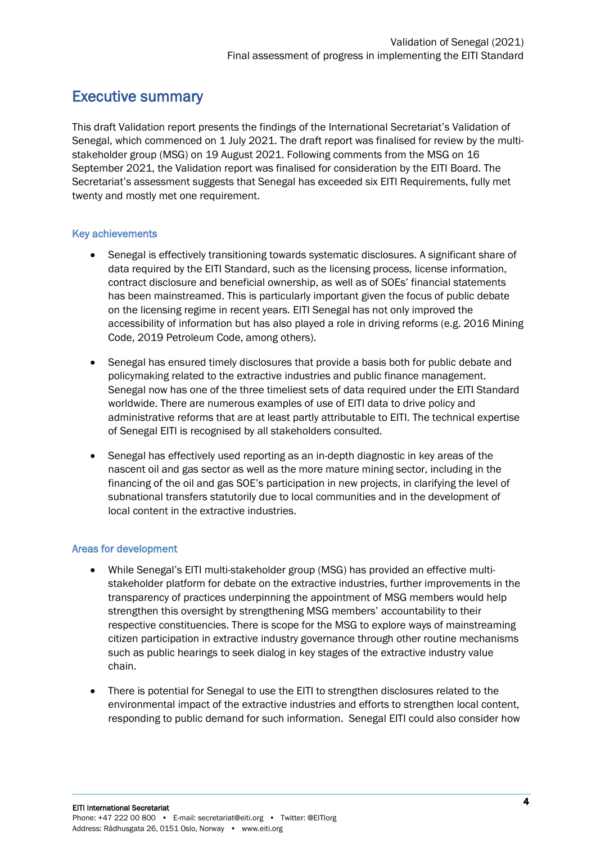## <span id="page-3-0"></span>Executive summary

This draft Validation report presents the findings of the International Secretariat's Validation of Senegal, which commenced on 1 July 2021. The draft report was finalised for review by the multistakeholder group (MSG) on 19 August 2021. Following comments from the MSG on 16 September 2021, the Validation report was finalised for consideration by the EITI Board. The Secretariat's assessment suggests that Senegal has exceeded six EITI Requirements, fully met twenty and mostly met one requirement.

#### Key achievements

- Senegal is effectively transitioning towards systematic disclosures. A significant share of data required by the EITI Standard, such as the licensing process, license information, contract disclosure and beneficial ownership, as well as of SOEs' financial statements has been mainstreamed. This is particularly important given the focus of public debate on the licensing regime in recent years. EITI Senegal has not only improved the accessibility of information but has also played a role in driving reforms (e.g. 2016 Mining Code, 2019 Petroleum Code, among others).
- Senegal has ensured timely disclosures that provide a basis both for public debate and policymaking related to the extractive industries and public finance management. Senegal now has one of the three timeliest sets of data required under the EITI Standard worldwide. There are numerous examples of use of EITI data to drive policy and administrative reforms that are at least partly attributable to EITI. The technical expertise of Senegal EITI is recognised by all stakeholders consulted.
- Senegal has effectively used reporting as an in-depth diagnostic in key areas of the nascent oil and gas sector as well as the more mature mining sector, including in the financing of the oil and gas SOE's participation in new projects, in clarifying the level of subnational transfers statutorily due to local communities and in the development of local content in the extractive industries.

#### Areas for development

- While Senegal's EITI multi-stakeholder group (MSG) has provided an effective multistakeholder platform for debate on the extractive industries, further improvements in the transparency of practices underpinning the appointment of MSG members would help strengthen this oversight by strengthening MSG members' accountability to their respective constituencies. There is scope for the MSG to explore ways of mainstreaming citizen participation in extractive industry governance through other routine mechanisms such as public hearings to seek dialog in key stages of the extractive industry value chain.
- There is potential for Senegal to use the EITI to strengthen disclosures related to the environmental impact of the extractive industries and efforts to strengthen local content, responding to public demand for such information. Senegal EITI could also consider how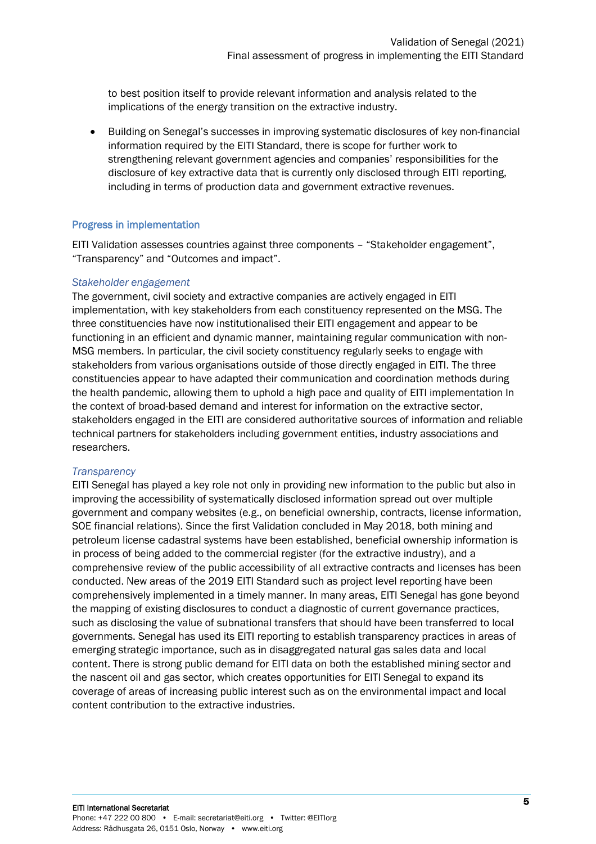to best position itself to provide relevant information and analysis related to the implications of the energy transition on the extractive industry.

• Building on Senegal's successes in improving systematic disclosures of key non-financial information required by the EITI Standard, there is scope for further work to strengthening relevant government agencies and companies' responsibilities for the disclosure of key extractive data that is currently only disclosed through EITI reporting, including in terms of production data and government extractive revenues.

#### Progress in implementation

EITI Validation assesses countries against three components – "Stakeholder engagement", "Transparency" and "Outcomes and impact".

#### *Stakeholder engagement*

The government, civil society and extractive companies are actively engaged in EITI implementation, with key stakeholders from each constituency represented on the MSG. The three constituencies have now institutionalised their EITI engagement and appear to be functioning in an efficient and dynamic manner, maintaining regular communication with non-MSG members. In particular, the civil society constituency regularly seeks to engage with stakeholders from various organisations outside of those directly engaged in EITI. The three constituencies appear to have adapted their communication and coordination methods during the health pandemic, allowing them to uphold a high pace and quality of EITI implementation In the context of broad-based demand and interest for information on the extractive sector, stakeholders engaged in the EITI are considered authoritative sources of information and reliable technical partners for stakeholders including government entities, industry associations and researchers.

#### *Transparency*

EITI Senegal has played a key role not only in providing new information to the public but also in improving the accessibility of systematically disclosed information spread out over multiple government and company websites (e.g., on beneficial ownership, contracts, license information, SOE financial relations). Since the first Validation concluded in May 2018, both mining and petroleum license cadastral systems have been established, beneficial ownership information is in process of being added to the commercial register (for the extractive industry), and a comprehensive review of the public accessibility of all extractive contracts and licenses has been conducted. New areas of the 2019 EITI Standard such as project level reporting have been comprehensively implemented in a timely manner. In many areas, EITI Senegal has gone beyond the mapping of existing disclosures to conduct a diagnostic of current governance practices, such as disclosing the value of subnational transfers that should have been transferred to local governments. Senegal has used its EITI reporting to establish transparency practices in areas of emerging strategic importance, such as in disaggregated natural gas sales data and local content. There is strong public demand for EITI data on both the established mining sector and the nascent oil and gas sector, which creates opportunities for EITI Senegal to expand its coverage of areas of increasing public interest such as on the environmental impact and local content contribution to the extractive industries.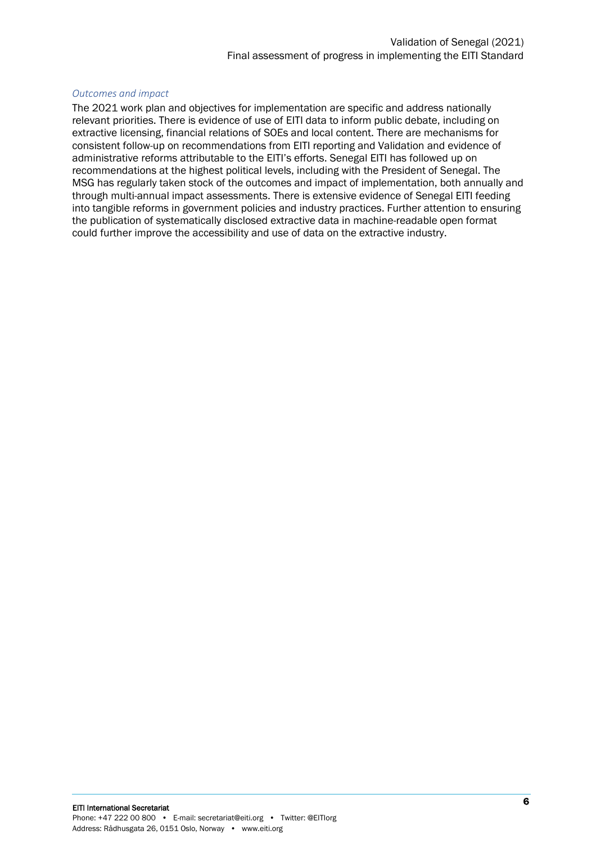#### *Outcomes and impact*

The 2021 work plan and objectives for implementation are specific and address nationally relevant priorities. There is evidence of use of EITI data to inform public debate, including on extractive licensing, financial relations of SOEs and local content. There are mechanisms for consistent follow-up on recommendations from EITI reporting and Validation and evidence of administrative reforms attributable to the EITI's efforts. Senegal EITI has followed up on recommendations at the highest political levels, including with the President of Senegal. The MSG has regularly taken stock of the outcomes and impact of implementation, both annually and through multi-annual impact assessments. There is extensive evidence of Senegal EITI feeding into tangible reforms in government policies and industry practices. Further attention to ensuring the publication of systematically disclosed extractive data in machine-readable open format could further improve the accessibility and use of data on the extractive industry.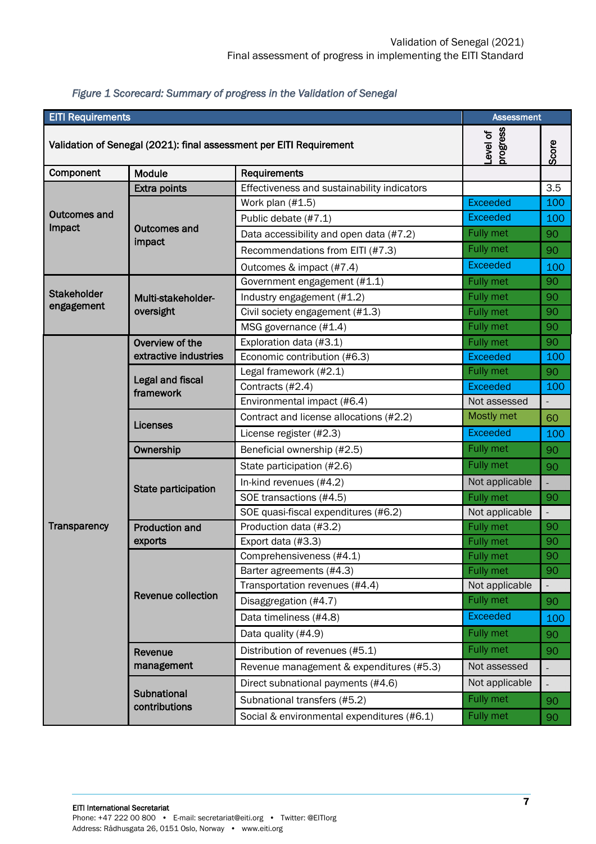| <b>EITI Requirements</b>                                            |                                      |                                             | <b>Assessment</b>    |       |
|---------------------------------------------------------------------|--------------------------------------|---------------------------------------------|----------------------|-------|
| Validation of Senegal (2021): final assessment per EITI Requirement |                                      |                                             | progress<br>Level of | Score |
| Component                                                           | Module<br>Requirements               |                                             |                      |       |
|                                                                     | <b>Extra points</b>                  | Effectiveness and sustainability indicators |                      | 3.5   |
|                                                                     |                                      | Work plan (#1.5)                            | <b>Exceeded</b>      | 100   |
| <b>Outcomes and</b>                                                 |                                      | Public debate (#7.1)                        | <b>Exceeded</b>      | 100   |
| Impact                                                              | <b>Outcomes and</b><br>impact        | Data accessibility and open data (#7.2)     | Fully met            | 90    |
|                                                                     |                                      | Recommendations from EITI (#7.3)            | Fully met            | 90    |
|                                                                     |                                      | Outcomes & impact (#7.4)                    | <b>Exceeded</b>      | 100   |
|                                                                     |                                      | Government engagement (#1.1)                | Fully met            | 90    |
| <b>Stakeholder</b>                                                  | Multi-stakeholder-                   | Industry engagement (#1.2)                  | Fully met            | 90    |
| engagement                                                          | oversight                            | Civil society engagement (#1.3)             | Fully met            | 90    |
|                                                                     |                                      | MSG governance (#1.4)                       | Fully met            | 90    |
|                                                                     | Overview of the                      | Exploration data (#3.1)                     | Fully met            | 90    |
|                                                                     | extractive industries                | Economic contribution (#6.3)                | <b>Exceeded</b>      | 100   |
|                                                                     |                                      | Legal framework (#2.1)                      | Fully met            | 90    |
|                                                                     | <b>Legal and fiscal</b><br>framework | Contracts (#2.4)                            | <b>Exceeded</b>      | 100   |
|                                                                     |                                      | Environmental impact (#6.4)                 | Not assessed         |       |
|                                                                     | Licenses                             | Contract and license allocations (#2.2)     | Mostly met           | 60    |
|                                                                     |                                      | License register (#2.3)                     | <b>Exceeded</b>      | 100   |
|                                                                     | Ownership                            | Beneficial ownership (#2.5)                 | Fully met            | 90    |
|                                                                     |                                      | State participation (#2.6)                  | Fully met            | 90    |
|                                                                     | State participation                  | In-kind revenues (#4.2)                     | Not applicable       | H)    |
|                                                                     |                                      | SOE transactions (#4.5)                     | <b>Fully met</b>     | 90    |
|                                                                     |                                      | SOE quasi-fiscal expenditures (#6.2)        | Not applicable       | H     |
| Transparency                                                        | <b>Production and</b>                | Production data (#3.2)                      | Fully met            | 90    |
|                                                                     | exports                              | Export data (#3.3)                          | Fully met            | 90    |
|                                                                     | <b>Revenue collection</b>            | Comprehensiveness (#4.1)                    | <b>Fully met</b>     | 90    |
|                                                                     |                                      | Barter agreements (#4.3)                    | Fully met            | 90    |
|                                                                     |                                      | Transportation revenues (#4.4)              | Not applicable       | H     |
|                                                                     |                                      | Disaggregation (#4.7)                       | Fully met            | 90    |
|                                                                     |                                      | Data timeliness (#4.8)                      | <b>Exceeded</b>      | 100   |
|                                                                     |                                      | Data quality (#4.9)                         | Fully met            | 90    |
|                                                                     | Revenue                              | Distribution of revenues (#5.1)             | Fully met            | 90    |
|                                                                     | management                           | Revenue management & expenditures (#5.3)    | Not assessed         |       |
|                                                                     |                                      | Direct subnational payments (#4.6)          | Not applicable       |       |
|                                                                     | Subnational                          | Subnational transfers (#5.2)                | Fully met            | 90    |
|                                                                     | contributions                        | Social & environmental expenditures (#6.1)  | Fully met            | 90    |
|                                                                     |                                      |                                             |                      |       |

#### *Figure 1 Scorecard: Summary of progress in the Validation of Senegal*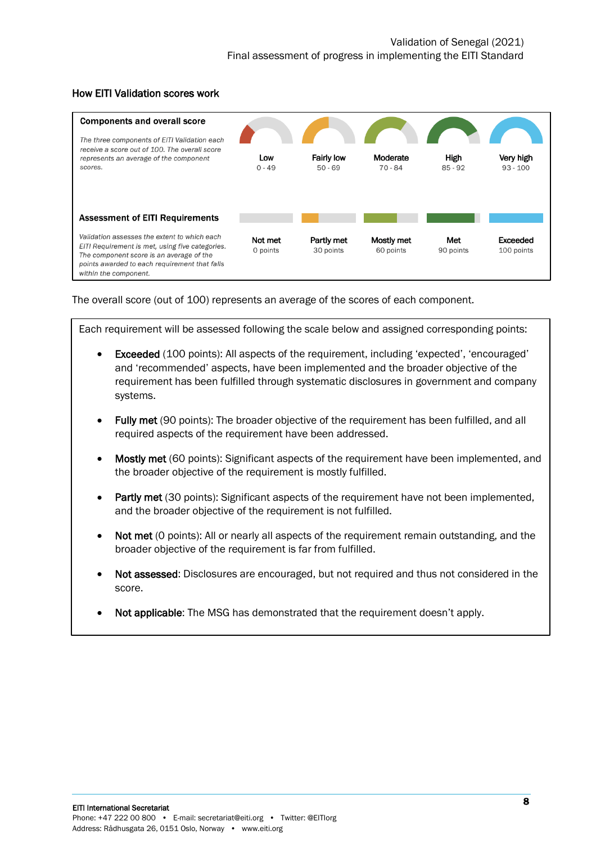

#### How EITI Validation scores work

The overall score (out of 100) represents an average of the scores of each component.

Each requirement will be assessed following the scale below and assigned corresponding points:

- Exceeded (100 points): All aspects of the requirement, including 'expected', 'encouraged' and 'recommended' aspects, have been implemented and the broader objective of the requirement has been fulfilled through systematic disclosures in government and company systems.
- Fully met (90 points): The broader objective of the requirement has been fulfilled, and all required aspects of the requirement have been addressed.
- **Mostly met** (60 points): Significant aspects of the requirement have been implemented, and the broader objective of the requirement is mostly fulfilled.
- Partly met (30 points): Significant aspects of the requirement have not been implemented, and the broader objective of the requirement is not fulfilled.
- Not met (0 points): All or nearly all aspects of the requirement remain outstanding, and the broader objective of the requirement is far from fulfilled.
- Not assessed: Disclosures are encouraged, but not required and thus not considered in the score.

Where the evidence does not clearly suggest a certain assessment, stakeholder views on the issue

• Not applicable: The MSG has demonstrated that the requirement doesn't apply.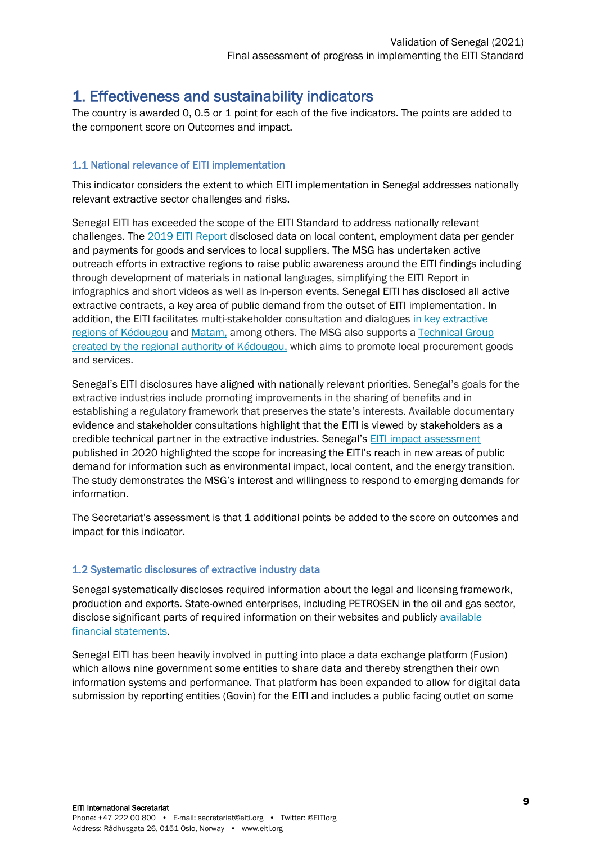## <span id="page-8-0"></span>1. Effectiveness and sustainability indicators

The country is awarded 0, 0.5 or 1 point for each of the five indicators. The points are added to the component score on Outcomes and impact.

#### 1.1 National relevance of EITI implementation

This indicator considers the extent to which EITI implementation in Senegal addresses nationally relevant extractive sector challenges and risks.

Senegal EITI has exceeded the scope of the EITI Standard to address nationally relevant challenges. The [2019 EITI Report](https://itie.sn/rapport-itie-2019/) disclosed data on local content, employment data per gender and payments for goods and services to local suppliers. The MSG has undertaken active outreach efforts in extractive regions to raise public awareness around the EITI findings including through development of materials in national languages, simplifying the EITI Report in infographics and short videos as well as in-person events. Senegal EITI has disclosed all active extractive contracts, a key area of public demand from the outset of EITI implementation. In addition, the EITI facilitates multi-stakeholder consultation and dialogues [in key extractive](https://itie.sn/wp-content/uploads/2021/06/Arrete-du-Gouverneur-Cadre-de-concertation-Kedougou.pdf)  [regions of Kédougou](https://itie.sn/wp-content/uploads/2021/06/Arrete-du-Gouverneur-Cadre-de-concertation-Kedougou.pdf) and [Matam,](https://itie.sn/wp-content/uploads/2021/06/Arre%CC%82te%CC%81-Comm-regionale-concertation-interventions-sociales-secteur-minier-Matam.pdf) among others. The MSG also supports [a Technical Group](https://itie.sn/wp-content/uploads/2021/06/arrete-n-091-portant-creation-dun-groupe-technique-pour-la-promotion-des-achats-locaux-GTAL.pdf)  created by [the regional authority of Kédougou,](https://itie.sn/wp-content/uploads/2021/06/arrete-n-091-portant-creation-dun-groupe-technique-pour-la-promotion-des-achats-locaux-GTAL.pdf) which aims to promote local procurement goods and services.

Senegal's EITI disclosures have aligned with nationally relevant priorities. Senegal's goals for the extractive industries include promoting improvements in the sharing of benefits and in establishing a regulatory framework that preserves the state's interests. Available documentary evidence and stakeholder consultations highlight that the EITI is viewed by stakeholders as a credible technical partner in the extractive industries. Senegal's [EITI impact assessment](https://itie.sn/2020/11/16/impacts-de-la-mise-en-oeuvre-litie-au-senegal-letude-est-disponible/) published in 2020 highlighted the scope for increasing the EITI's reach in new areas of public demand for information such as environmental impact, local content, and the energy transition. The study demonstrates the MSG's interest and willingness to respond to emerging demands for information.

The Secretariat's assessment is that 1 additional points be added to the score on outcomes and impact for this indicator.

#### 1.2 Systematic disclosures of extractive industry data

Senegal systematically discloses required information about the legal and licensing framework, production and exports. State-owned enterprises, including PETROSEN in the oil and gas sector, disclose significant parts of required information on their websites and publicly [available](https://www.petrosen.sn/index.php/publications/etats-financiers-petrosen-2015-2019/)  [financial statements.](https://www.petrosen.sn/index.php/publications/etats-financiers-petrosen-2015-2019/)

Senegal EITI has been heavily involved in putting into place a data exchange platform (Fusion) which allows nine government some entities to share data and thereby strengthen their own information systems and performance. That platform has been expanded to allow for digital data submission by reporting entities (Govin) for the EITI and includes a public facing outlet on some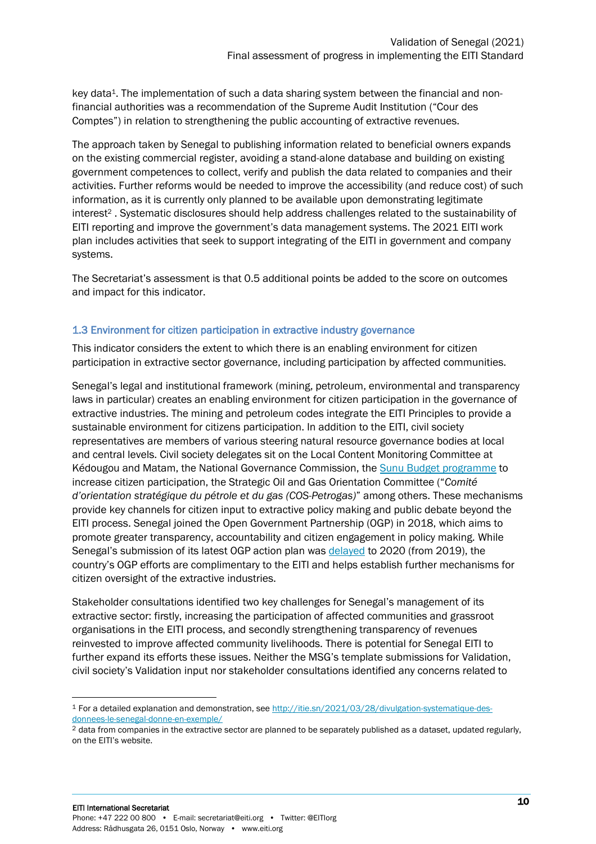key data<sup>1</sup>. The implementation of such a data sharing system between the financial and nonfinancial authorities was a recommendation of the Supreme Audit Institution ("Cour des Comptes") in relation to strengthening the public accounting of extractive revenues.

The approach taken by Senegal to publishing information related to beneficial owners expands on the existing commercial register, avoiding a stand-alone database and building on existing government competences to collect, verify and publish the data related to companies and their activities. Further reforms would be needed to improve the accessibility (and reduce cost) of such information, as it is currently only planned to be available upon demonstrating legitimate interest<sup>2</sup> . Systematic disclosures should help address challenges related to the sustainability of EITI reporting and improve the government's data management systems. The 2021 EITI work plan includes activities that seek to support integrating of the EITI in government and company systems.

The Secretariat's assessment is that 0.5 additional points be added to the score on outcomes and impact for this indicator.

#### 1.3 Environment for citizen participation in extractive industry governance

This indicator considers the extent to which there is an enabling environment for citizen participation in extractive sector governance, including participation by affected communities.

Senegal's legal and institutional framework (mining, petroleum, environmental and transparency laws in particular) creates an enabling environment for citizen participation in the governance of extractive industries. The mining and petroleum codes integrate the EITI Principles to provide a sustainable environment for citizens participation. In addition to the EITI, civil society representatives are members of various steering natural resource governance bodies at local and central levels. Civil society delegates sit on the Local Content Monitoring Committee at Kédougou and Matam, the National Governance Commission, the [Sunu Budget programme](https://sn.usembassy.gov/fr/usaid-launches-project-improve-public-access-budget-information-fr/) to increase citizen participation, the Strategic Oil and Gas Orientation Committee ("*Comité d'orientation stratégique du pétrole et du gas (COS-Petrogas)*" among others. These mechanisms provide key channels for citizen input to extractive policy making and public debate beyond the EITI process. Senegal joined the Open Government Partnership (OGP) in 2018, which aims to promote greater transparency, accountability and citizen engagement in policy making. While Senegal's submission of its latest OGP action plan was [delayed](https://www.opengovpartnership.org/wp-content/uploads/2020/02/Senegal_Letter_Cohort-Shift_February2020.pdf) to 2020 (from 2019), the country's OGP efforts are complimentary to the EITI and helps establish further mechanisms for citizen oversight of the extractive industries.

Stakeholder consultations identified two key challenges for Senegal's management of its extractive sector: firstly, increasing the participation of affected communities and grassroot organisations in the EITI process, and secondly strengthening transparency of revenues reinvested to improve affected community livelihoods. There is potential for Senegal EITI to further expand its efforts these issues. Neither the MSG's template submissions for Validation, civil society's Validation input nor stakeholder consultations identified any concerns related to

<sup>1</sup> For a detailed explanation and demonstration, see [http://itie.sn/2021/03/28/divulgation-systematique-des](http://itie.sn/2021/03/28/divulgation-systematique-des-donnees-le-senegal-donne-en-exemple/)[donnees-le-senegal-donne-en-exemple/](http://itie.sn/2021/03/28/divulgation-systematique-des-donnees-le-senegal-donne-en-exemple/)

<sup>&</sup>lt;sup>2</sup> data from companies in the extractive sector are planned to be separately published as a dataset, updated regularly, on the EITI's website.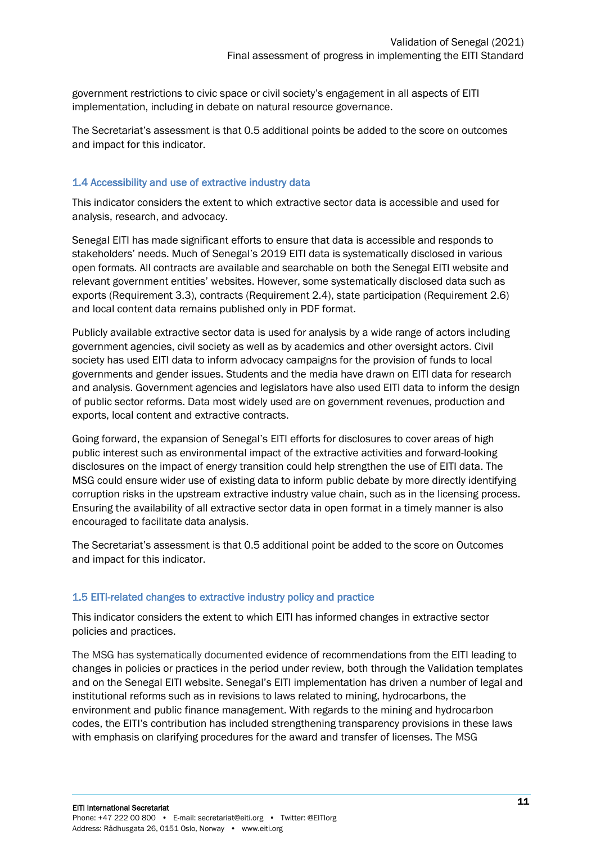government restrictions to civic space or civil society's engagement in all aspects of EITI implementation, including in debate on natural resource governance.

The Secretariat's assessment is that 0.5 additional points be added to the score on outcomes and impact for this indicator.

#### 1.4 Accessibility and use of extractive industry data

This indicator considers the extent to which extractive sector data is accessible and used for analysis, research, and advocacy.

Senegal EITI has made significant efforts to ensure that data is accessible and responds to stakeholders' needs. Much of Senegal's 2019 EITI data is systematically disclosed in various open formats. All contracts are available and searchable on both the Senegal EITI website and relevant government entities' websites. However, some systematically disclosed data such as exports (Requirement 3.3), contracts (Requirement 2.4), state participation (Requirement 2.6) and local content data remains published only in PDF format.

Publicly available extractive sector data is used for analysis by a wide range of actors including government agencies, civil society as well as by academics and other oversight actors. Civil society has used EITI data to inform advocacy campaigns for the provision of funds to local governments and gender issues. Students and the media have drawn on EITI data for research and analysis. Government agencies and legislators have also used EITI data to inform the design of public sector reforms. Data most widely used are on government revenues, production and exports, local content and extractive contracts.

Going forward, the expansion of Senegal's EITI efforts for disclosures to cover areas of high public interest such as environmental impact of the extractive activities and forward-looking disclosures on the impact of energy transition could help strengthen the use of EITI data. The MSG could ensure wider use of existing data to inform public debate by more directly identifying corruption risks in the upstream extractive industry value chain, such as in the licensing process. Ensuring the availability of all extractive sector data in open format in a timely manner is also encouraged to facilitate data analysis.

The Secretariat's assessment is that 0.5 additional point be added to the score on Outcomes and impact for this indicator.

#### 1.5 EITI-related changes to extractive industry policy and practice

This indicator considers the extent to which EITI has informed changes in extractive sector policies and practices.

The MSG has systematically documented evidence of recommendations from the EITI leading to changes in policies or practices in the period under review, both through the Validation templates and on the Senegal EITI website. Senegal's EITI implementation has driven a number of legal and institutional reforms such as in revisions to laws related to mining, hydrocarbons, the environment and public finance management. With regards to the mining and hydrocarbon codes, the EITI's contribution has included strengthening transparency provisions in these laws with emphasis on clarifying procedures for the award and transfer of licenses. The MSG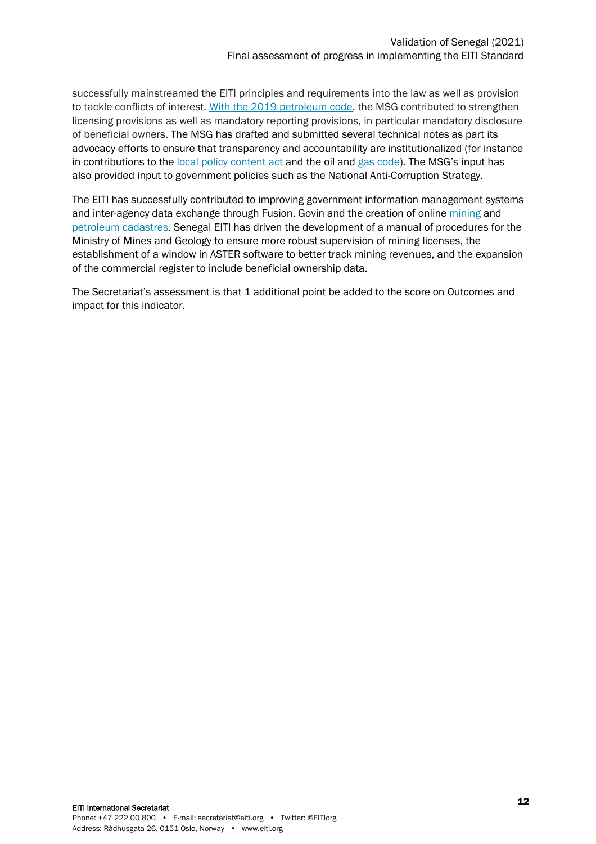successfully mainstreamed the EITI principles and requirements into the law as well as provision to tackle conflicts of interest. [With the 2019 petroleum code,](https://itie.sn/wp-content/uploads/2021/06/Projet-de-loi-Gazie%CC%80re@Observations-et-propositions-CN-ITIE-vf.pdf) the MSG contributed to strengthen licensing provisions as well as mandatory reporting provisions, in particular mandatory disclosure of beneficial owners. The MSG has drafted and submitted several technical notes as part its advocacy efforts to ensure that transparency and accountability are institutionalized (for instance in contributions to the [local policy content act](https://itie.sn/wp-content/uploads/2021/06/Contributions-du-Comite-national-ITIE-en-vue-de-lelaboration-des-textes-dapplication-de-la-loi-sur-le-contenu-local-V20122019.pdf) and the oil and [gas code\)](https://itie.sn/wp-content/uploads/2021/06/Projet-de-loi-Gazière@Observations-et-propositions-CN-ITIE-vf.pdf). The MSG's input has also provided input to government policies such as the National Anti-Corruption Strategy.

The EITI has successfully contributed to improving government information management systems and inter-agency data exchange through Fusion, Govin and the creation of online [mining](file://///Users/jeanpierreokenda/Desktop/ITIE/Validation/Plan%20de%20travail%20/Suivi%20des%20recommandations/Formulaires%20internes/Validation%20draft%20/(https:/minesgeologie.sec.gouv.sn/node/51) and [petroleum cadastres.](https://cadastre-petrolier.senegal.revenuedev.org/) Senegal EITI has driven the development of a manual of procedures for the Ministry of Mines and Geology to ensure more robust supervision of mining licenses, the establishment of a window in ASTER software to better track mining revenues, and the expansion of the commercial register to include beneficial ownership data.

<span id="page-11-0"></span>The Secretariat's assessment is that 1 additional point be added to the score on Outcomes and impact for this indicator.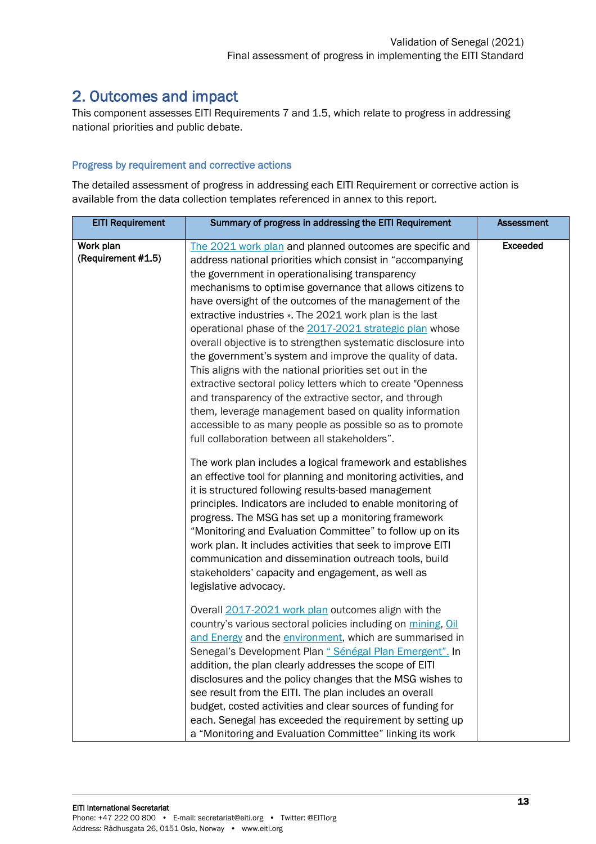## 2. Outcomes and impact

This component assesses EITI Requirements 7 and 1.5, which relate to progress in addressing national priorities and public debate.

#### Progress by requirement and corrective actions

The detailed assessment of progress in addressing each EITI Requirement or corrective action is available from the data collection templates referenced in annex to this report.

| <b>EITI Requirement</b>         | Summary of progress in addressing the EITI Requirement                                                                                                                                                                                                                                                                                                                                                                                                                                                                                                                                                                                                                                                                                                                                                                                                                                                                                                                                                                                                                                                                                                                                                                        | <b>Assessment</b> |
|---------------------------------|-------------------------------------------------------------------------------------------------------------------------------------------------------------------------------------------------------------------------------------------------------------------------------------------------------------------------------------------------------------------------------------------------------------------------------------------------------------------------------------------------------------------------------------------------------------------------------------------------------------------------------------------------------------------------------------------------------------------------------------------------------------------------------------------------------------------------------------------------------------------------------------------------------------------------------------------------------------------------------------------------------------------------------------------------------------------------------------------------------------------------------------------------------------------------------------------------------------------------------|-------------------|
| Work plan<br>(Requirement #1.5) | The 2021 work plan and planned outcomes are specific and<br>address national priorities which consist in "accompanying<br>the government in operationalising transparency<br>mechanisms to optimise governance that allows citizens to<br>have oversight of the outcomes of the management of the<br>extractive industries ». The 2021 work plan is the last<br>operational phase of the 2017-2021 strategic plan whose<br>overall objective is to strengthen systematic disclosure into<br>the government's system and improve the quality of data.<br>This aligns with the national priorities set out in the<br>extractive sectoral policy letters which to create "Openness<br>and transparency of the extractive sector, and through<br>them, leverage management based on quality information<br>accessible to as many people as possible so as to promote<br>full collaboration between all stakeholders".<br>The work plan includes a logical framework and establishes<br>an effective tool for planning and monitoring activities, and<br>it is structured following results-based management<br>principles. Indicators are included to enable monitoring of<br>progress. The MSG has set up a monitoring framework | <b>Exceeded</b>   |
|                                 | "Monitoring and Evaluation Committee" to follow up on its<br>work plan. It includes activities that seek to improve EITI<br>communication and dissemination outreach tools, build<br>stakeholders' capacity and engagement, as well as<br>legislative advocacy.<br>Overall 2017-2021 work plan outcomes align with the<br>country's various sectoral policies including on mining, Oil<br>and Energy and the environment, which are summarised in<br>Senegal's Development Plan « Sénégal Plan Emergent". In<br>addition, the plan clearly addresses the scope of EITI<br>disclosures and the policy changes that the MSG wishes to<br>see result from the EITI. The plan includes an overall<br>budget, costed activities and clear sources of funding for<br>each. Senegal has exceeded the requirement by setting up<br>a "Monitoring and Evaluation Committee" linking its work                                                                                                                                                                                                                                                                                                                                           |                   |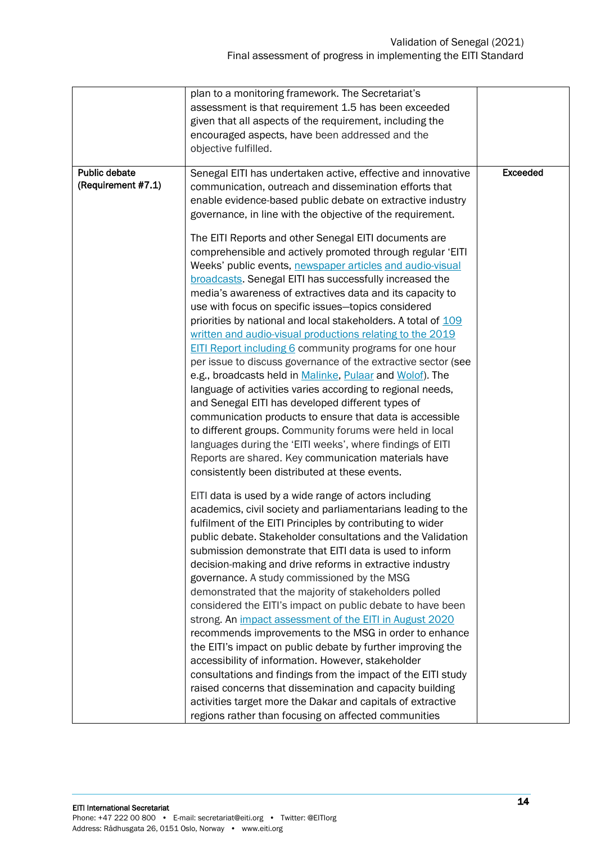| plan to a monitoring framework. The Secretariat's<br>assessment is that requirement 1.5 has been exceeded<br>given that all aspects of the requirement, including the<br>encouraged aspects, have been addressed and the<br>objective fulfilled.<br>Public debate<br>Senegal EITI has undertaken active, effective and innovative<br><b>Exceeded</b><br>(Requirement #7.1)<br>communication, outreach and dissemination efforts that<br>enable evidence-based public debate on extractive industry<br>governance, in line with the objective of the requirement.<br>The EITI Reports and other Senegal EITI documents are<br>comprehensible and actively promoted through regular 'EITI<br>Weeks' public events, newspaper articles and audio-visual<br>broadcasts. Senegal EITI has successfully increased the<br>media's awareness of extractives data and its capacity to<br>use with focus on specific issues-topics considered<br>priorities by national and local stakeholders. A total of 109<br>written and audio-visual productions relating to the 2019<br><b>EITI Report including 6 community programs for one hour</b><br>per issue to discuss governance of the extractive sector (see<br>e.g., broadcasts held in Malinke, Pulaar and Wolof). The<br>language of activities varies according to regional needs,<br>and Senegal EITI has developed different types of<br>communication products to ensure that data is accessible<br>to different groups. Community forums were held in local<br>languages during the 'EITI weeks', where findings of EITI<br>Reports are shared. Key communication materials have<br>consistently been distributed at these events.<br>EITI data is used by a wide range of actors including<br>academics, civil society and parliamentarians leading to the<br>fulfilment of the EITI Principles by contributing to wider<br>public debate. Stakeholder consultations and the Validation<br>submission demonstrate that EITI data is used to inform<br>decision-making and drive reforms in extractive industry<br>governance. A study commissioned by the MSG<br>demonstrated that the majority of stakeholders polled<br>considered the EITI's impact on public debate to have been<br>strong. An <i>impact assessment of the EITI in August 2020</i><br>recommends improvements to the MSG in order to enhance<br>the EITI's impact on public debate by further improving the<br>accessibility of information. However, stakeholder |  |  |
|----------------------------------------------------------------------------------------------------------------------------------------------------------------------------------------------------------------------------------------------------------------------------------------------------------------------------------------------------------------------------------------------------------------------------------------------------------------------------------------------------------------------------------------------------------------------------------------------------------------------------------------------------------------------------------------------------------------------------------------------------------------------------------------------------------------------------------------------------------------------------------------------------------------------------------------------------------------------------------------------------------------------------------------------------------------------------------------------------------------------------------------------------------------------------------------------------------------------------------------------------------------------------------------------------------------------------------------------------------------------------------------------------------------------------------------------------------------------------------------------------------------------------------------------------------------------------------------------------------------------------------------------------------------------------------------------------------------------------------------------------------------------------------------------------------------------------------------------------------------------------------------------------------------------------------------------------------------------------------------------------------------------------------------------------------------------------------------------------------------------------------------------------------------------------------------------------------------------------------------------------------------------------------------------------------------------------------------------------------------------------------------------------------------------------------------------------------------------------------------|--|--|
|                                                                                                                                                                                                                                                                                                                                                                                                                                                                                                                                                                                                                                                                                                                                                                                                                                                                                                                                                                                                                                                                                                                                                                                                                                                                                                                                                                                                                                                                                                                                                                                                                                                                                                                                                                                                                                                                                                                                                                                                                                                                                                                                                                                                                                                                                                                                                                                                                                                                                        |  |  |
|                                                                                                                                                                                                                                                                                                                                                                                                                                                                                                                                                                                                                                                                                                                                                                                                                                                                                                                                                                                                                                                                                                                                                                                                                                                                                                                                                                                                                                                                                                                                                                                                                                                                                                                                                                                                                                                                                                                                                                                                                                                                                                                                                                                                                                                                                                                                                                                                                                                                                        |  |  |
|                                                                                                                                                                                                                                                                                                                                                                                                                                                                                                                                                                                                                                                                                                                                                                                                                                                                                                                                                                                                                                                                                                                                                                                                                                                                                                                                                                                                                                                                                                                                                                                                                                                                                                                                                                                                                                                                                                                                                                                                                                                                                                                                                                                                                                                                                                                                                                                                                                                                                        |  |  |
|                                                                                                                                                                                                                                                                                                                                                                                                                                                                                                                                                                                                                                                                                                                                                                                                                                                                                                                                                                                                                                                                                                                                                                                                                                                                                                                                                                                                                                                                                                                                                                                                                                                                                                                                                                                                                                                                                                                                                                                                                                                                                                                                                                                                                                                                                                                                                                                                                                                                                        |  |  |
|                                                                                                                                                                                                                                                                                                                                                                                                                                                                                                                                                                                                                                                                                                                                                                                                                                                                                                                                                                                                                                                                                                                                                                                                                                                                                                                                                                                                                                                                                                                                                                                                                                                                                                                                                                                                                                                                                                                                                                                                                                                                                                                                                                                                                                                                                                                                                                                                                                                                                        |  |  |
|                                                                                                                                                                                                                                                                                                                                                                                                                                                                                                                                                                                                                                                                                                                                                                                                                                                                                                                                                                                                                                                                                                                                                                                                                                                                                                                                                                                                                                                                                                                                                                                                                                                                                                                                                                                                                                                                                                                                                                                                                                                                                                                                                                                                                                                                                                                                                                                                                                                                                        |  |  |
|                                                                                                                                                                                                                                                                                                                                                                                                                                                                                                                                                                                                                                                                                                                                                                                                                                                                                                                                                                                                                                                                                                                                                                                                                                                                                                                                                                                                                                                                                                                                                                                                                                                                                                                                                                                                                                                                                                                                                                                                                                                                                                                                                                                                                                                                                                                                                                                                                                                                                        |  |  |
|                                                                                                                                                                                                                                                                                                                                                                                                                                                                                                                                                                                                                                                                                                                                                                                                                                                                                                                                                                                                                                                                                                                                                                                                                                                                                                                                                                                                                                                                                                                                                                                                                                                                                                                                                                                                                                                                                                                                                                                                                                                                                                                                                                                                                                                                                                                                                                                                                                                                                        |  |  |
|                                                                                                                                                                                                                                                                                                                                                                                                                                                                                                                                                                                                                                                                                                                                                                                                                                                                                                                                                                                                                                                                                                                                                                                                                                                                                                                                                                                                                                                                                                                                                                                                                                                                                                                                                                                                                                                                                                                                                                                                                                                                                                                                                                                                                                                                                                                                                                                                                                                                                        |  |  |
|                                                                                                                                                                                                                                                                                                                                                                                                                                                                                                                                                                                                                                                                                                                                                                                                                                                                                                                                                                                                                                                                                                                                                                                                                                                                                                                                                                                                                                                                                                                                                                                                                                                                                                                                                                                                                                                                                                                                                                                                                                                                                                                                                                                                                                                                                                                                                                                                                                                                                        |  |  |
|                                                                                                                                                                                                                                                                                                                                                                                                                                                                                                                                                                                                                                                                                                                                                                                                                                                                                                                                                                                                                                                                                                                                                                                                                                                                                                                                                                                                                                                                                                                                                                                                                                                                                                                                                                                                                                                                                                                                                                                                                                                                                                                                                                                                                                                                                                                                                                                                                                                                                        |  |  |
|                                                                                                                                                                                                                                                                                                                                                                                                                                                                                                                                                                                                                                                                                                                                                                                                                                                                                                                                                                                                                                                                                                                                                                                                                                                                                                                                                                                                                                                                                                                                                                                                                                                                                                                                                                                                                                                                                                                                                                                                                                                                                                                                                                                                                                                                                                                                                                                                                                                                                        |  |  |
|                                                                                                                                                                                                                                                                                                                                                                                                                                                                                                                                                                                                                                                                                                                                                                                                                                                                                                                                                                                                                                                                                                                                                                                                                                                                                                                                                                                                                                                                                                                                                                                                                                                                                                                                                                                                                                                                                                                                                                                                                                                                                                                                                                                                                                                                                                                                                                                                                                                                                        |  |  |
|                                                                                                                                                                                                                                                                                                                                                                                                                                                                                                                                                                                                                                                                                                                                                                                                                                                                                                                                                                                                                                                                                                                                                                                                                                                                                                                                                                                                                                                                                                                                                                                                                                                                                                                                                                                                                                                                                                                                                                                                                                                                                                                                                                                                                                                                                                                                                                                                                                                                                        |  |  |
|                                                                                                                                                                                                                                                                                                                                                                                                                                                                                                                                                                                                                                                                                                                                                                                                                                                                                                                                                                                                                                                                                                                                                                                                                                                                                                                                                                                                                                                                                                                                                                                                                                                                                                                                                                                                                                                                                                                                                                                                                                                                                                                                                                                                                                                                                                                                                                                                                                                                                        |  |  |
|                                                                                                                                                                                                                                                                                                                                                                                                                                                                                                                                                                                                                                                                                                                                                                                                                                                                                                                                                                                                                                                                                                                                                                                                                                                                                                                                                                                                                                                                                                                                                                                                                                                                                                                                                                                                                                                                                                                                                                                                                                                                                                                                                                                                                                                                                                                                                                                                                                                                                        |  |  |
|                                                                                                                                                                                                                                                                                                                                                                                                                                                                                                                                                                                                                                                                                                                                                                                                                                                                                                                                                                                                                                                                                                                                                                                                                                                                                                                                                                                                                                                                                                                                                                                                                                                                                                                                                                                                                                                                                                                                                                                                                                                                                                                                                                                                                                                                                                                                                                                                                                                                                        |  |  |
|                                                                                                                                                                                                                                                                                                                                                                                                                                                                                                                                                                                                                                                                                                                                                                                                                                                                                                                                                                                                                                                                                                                                                                                                                                                                                                                                                                                                                                                                                                                                                                                                                                                                                                                                                                                                                                                                                                                                                                                                                                                                                                                                                                                                                                                                                                                                                                                                                                                                                        |  |  |
|                                                                                                                                                                                                                                                                                                                                                                                                                                                                                                                                                                                                                                                                                                                                                                                                                                                                                                                                                                                                                                                                                                                                                                                                                                                                                                                                                                                                                                                                                                                                                                                                                                                                                                                                                                                                                                                                                                                                                                                                                                                                                                                                                                                                                                                                                                                                                                                                                                                                                        |  |  |
|                                                                                                                                                                                                                                                                                                                                                                                                                                                                                                                                                                                                                                                                                                                                                                                                                                                                                                                                                                                                                                                                                                                                                                                                                                                                                                                                                                                                                                                                                                                                                                                                                                                                                                                                                                                                                                                                                                                                                                                                                                                                                                                                                                                                                                                                                                                                                                                                                                                                                        |  |  |
|                                                                                                                                                                                                                                                                                                                                                                                                                                                                                                                                                                                                                                                                                                                                                                                                                                                                                                                                                                                                                                                                                                                                                                                                                                                                                                                                                                                                                                                                                                                                                                                                                                                                                                                                                                                                                                                                                                                                                                                                                                                                                                                                                                                                                                                                                                                                                                                                                                                                                        |  |  |
|                                                                                                                                                                                                                                                                                                                                                                                                                                                                                                                                                                                                                                                                                                                                                                                                                                                                                                                                                                                                                                                                                                                                                                                                                                                                                                                                                                                                                                                                                                                                                                                                                                                                                                                                                                                                                                                                                                                                                                                                                                                                                                                                                                                                                                                                                                                                                                                                                                                                                        |  |  |
|                                                                                                                                                                                                                                                                                                                                                                                                                                                                                                                                                                                                                                                                                                                                                                                                                                                                                                                                                                                                                                                                                                                                                                                                                                                                                                                                                                                                                                                                                                                                                                                                                                                                                                                                                                                                                                                                                                                                                                                                                                                                                                                                                                                                                                                                                                                                                                                                                                                                                        |  |  |
|                                                                                                                                                                                                                                                                                                                                                                                                                                                                                                                                                                                                                                                                                                                                                                                                                                                                                                                                                                                                                                                                                                                                                                                                                                                                                                                                                                                                                                                                                                                                                                                                                                                                                                                                                                                                                                                                                                                                                                                                                                                                                                                                                                                                                                                                                                                                                                                                                                                                                        |  |  |
|                                                                                                                                                                                                                                                                                                                                                                                                                                                                                                                                                                                                                                                                                                                                                                                                                                                                                                                                                                                                                                                                                                                                                                                                                                                                                                                                                                                                                                                                                                                                                                                                                                                                                                                                                                                                                                                                                                                                                                                                                                                                                                                                                                                                                                                                                                                                                                                                                                                                                        |  |  |
|                                                                                                                                                                                                                                                                                                                                                                                                                                                                                                                                                                                                                                                                                                                                                                                                                                                                                                                                                                                                                                                                                                                                                                                                                                                                                                                                                                                                                                                                                                                                                                                                                                                                                                                                                                                                                                                                                                                                                                                                                                                                                                                                                                                                                                                                                                                                                                                                                                                                                        |  |  |
|                                                                                                                                                                                                                                                                                                                                                                                                                                                                                                                                                                                                                                                                                                                                                                                                                                                                                                                                                                                                                                                                                                                                                                                                                                                                                                                                                                                                                                                                                                                                                                                                                                                                                                                                                                                                                                                                                                                                                                                                                                                                                                                                                                                                                                                                                                                                                                                                                                                                                        |  |  |
|                                                                                                                                                                                                                                                                                                                                                                                                                                                                                                                                                                                                                                                                                                                                                                                                                                                                                                                                                                                                                                                                                                                                                                                                                                                                                                                                                                                                                                                                                                                                                                                                                                                                                                                                                                                                                                                                                                                                                                                                                                                                                                                                                                                                                                                                                                                                                                                                                                                                                        |  |  |
|                                                                                                                                                                                                                                                                                                                                                                                                                                                                                                                                                                                                                                                                                                                                                                                                                                                                                                                                                                                                                                                                                                                                                                                                                                                                                                                                                                                                                                                                                                                                                                                                                                                                                                                                                                                                                                                                                                                                                                                                                                                                                                                                                                                                                                                                                                                                                                                                                                                                                        |  |  |
|                                                                                                                                                                                                                                                                                                                                                                                                                                                                                                                                                                                                                                                                                                                                                                                                                                                                                                                                                                                                                                                                                                                                                                                                                                                                                                                                                                                                                                                                                                                                                                                                                                                                                                                                                                                                                                                                                                                                                                                                                                                                                                                                                                                                                                                                                                                                                                                                                                                                                        |  |  |
|                                                                                                                                                                                                                                                                                                                                                                                                                                                                                                                                                                                                                                                                                                                                                                                                                                                                                                                                                                                                                                                                                                                                                                                                                                                                                                                                                                                                                                                                                                                                                                                                                                                                                                                                                                                                                                                                                                                                                                                                                                                                                                                                                                                                                                                                                                                                                                                                                                                                                        |  |  |
|                                                                                                                                                                                                                                                                                                                                                                                                                                                                                                                                                                                                                                                                                                                                                                                                                                                                                                                                                                                                                                                                                                                                                                                                                                                                                                                                                                                                                                                                                                                                                                                                                                                                                                                                                                                                                                                                                                                                                                                                                                                                                                                                                                                                                                                                                                                                                                                                                                                                                        |  |  |
|                                                                                                                                                                                                                                                                                                                                                                                                                                                                                                                                                                                                                                                                                                                                                                                                                                                                                                                                                                                                                                                                                                                                                                                                                                                                                                                                                                                                                                                                                                                                                                                                                                                                                                                                                                                                                                                                                                                                                                                                                                                                                                                                                                                                                                                                                                                                                                                                                                                                                        |  |  |
|                                                                                                                                                                                                                                                                                                                                                                                                                                                                                                                                                                                                                                                                                                                                                                                                                                                                                                                                                                                                                                                                                                                                                                                                                                                                                                                                                                                                                                                                                                                                                                                                                                                                                                                                                                                                                                                                                                                                                                                                                                                                                                                                                                                                                                                                                                                                                                                                                                                                                        |  |  |
|                                                                                                                                                                                                                                                                                                                                                                                                                                                                                                                                                                                                                                                                                                                                                                                                                                                                                                                                                                                                                                                                                                                                                                                                                                                                                                                                                                                                                                                                                                                                                                                                                                                                                                                                                                                                                                                                                                                                                                                                                                                                                                                                                                                                                                                                                                                                                                                                                                                                                        |  |  |
|                                                                                                                                                                                                                                                                                                                                                                                                                                                                                                                                                                                                                                                                                                                                                                                                                                                                                                                                                                                                                                                                                                                                                                                                                                                                                                                                                                                                                                                                                                                                                                                                                                                                                                                                                                                                                                                                                                                                                                                                                                                                                                                                                                                                                                                                                                                                                                                                                                                                                        |  |  |
|                                                                                                                                                                                                                                                                                                                                                                                                                                                                                                                                                                                                                                                                                                                                                                                                                                                                                                                                                                                                                                                                                                                                                                                                                                                                                                                                                                                                                                                                                                                                                                                                                                                                                                                                                                                                                                                                                                                                                                                                                                                                                                                                                                                                                                                                                                                                                                                                                                                                                        |  |  |
|                                                                                                                                                                                                                                                                                                                                                                                                                                                                                                                                                                                                                                                                                                                                                                                                                                                                                                                                                                                                                                                                                                                                                                                                                                                                                                                                                                                                                                                                                                                                                                                                                                                                                                                                                                                                                                                                                                                                                                                                                                                                                                                                                                                                                                                                                                                                                                                                                                                                                        |  |  |
|                                                                                                                                                                                                                                                                                                                                                                                                                                                                                                                                                                                                                                                                                                                                                                                                                                                                                                                                                                                                                                                                                                                                                                                                                                                                                                                                                                                                                                                                                                                                                                                                                                                                                                                                                                                                                                                                                                                                                                                                                                                                                                                                                                                                                                                                                                                                                                                                                                                                                        |  |  |
|                                                                                                                                                                                                                                                                                                                                                                                                                                                                                                                                                                                                                                                                                                                                                                                                                                                                                                                                                                                                                                                                                                                                                                                                                                                                                                                                                                                                                                                                                                                                                                                                                                                                                                                                                                                                                                                                                                                                                                                                                                                                                                                                                                                                                                                                                                                                                                                                                                                                                        |  |  |
|                                                                                                                                                                                                                                                                                                                                                                                                                                                                                                                                                                                                                                                                                                                                                                                                                                                                                                                                                                                                                                                                                                                                                                                                                                                                                                                                                                                                                                                                                                                                                                                                                                                                                                                                                                                                                                                                                                                                                                                                                                                                                                                                                                                                                                                                                                                                                                                                                                                                                        |  |  |
|                                                                                                                                                                                                                                                                                                                                                                                                                                                                                                                                                                                                                                                                                                                                                                                                                                                                                                                                                                                                                                                                                                                                                                                                                                                                                                                                                                                                                                                                                                                                                                                                                                                                                                                                                                                                                                                                                                                                                                                                                                                                                                                                                                                                                                                                                                                                                                                                                                                                                        |  |  |
| consultations and findings from the impact of the EITI study                                                                                                                                                                                                                                                                                                                                                                                                                                                                                                                                                                                                                                                                                                                                                                                                                                                                                                                                                                                                                                                                                                                                                                                                                                                                                                                                                                                                                                                                                                                                                                                                                                                                                                                                                                                                                                                                                                                                                                                                                                                                                                                                                                                                                                                                                                                                                                                                                           |  |  |
| raised concerns that dissemination and capacity building                                                                                                                                                                                                                                                                                                                                                                                                                                                                                                                                                                                                                                                                                                                                                                                                                                                                                                                                                                                                                                                                                                                                                                                                                                                                                                                                                                                                                                                                                                                                                                                                                                                                                                                                                                                                                                                                                                                                                                                                                                                                                                                                                                                                                                                                                                                                                                                                                               |  |  |
| activities target more the Dakar and capitals of extractive                                                                                                                                                                                                                                                                                                                                                                                                                                                                                                                                                                                                                                                                                                                                                                                                                                                                                                                                                                                                                                                                                                                                                                                                                                                                                                                                                                                                                                                                                                                                                                                                                                                                                                                                                                                                                                                                                                                                                                                                                                                                                                                                                                                                                                                                                                                                                                                                                            |  |  |
| regions rather than focusing on affected communities                                                                                                                                                                                                                                                                                                                                                                                                                                                                                                                                                                                                                                                                                                                                                                                                                                                                                                                                                                                                                                                                                                                                                                                                                                                                                                                                                                                                                                                                                                                                                                                                                                                                                                                                                                                                                                                                                                                                                                                                                                                                                                                                                                                                                                                                                                                                                                                                                                   |  |  |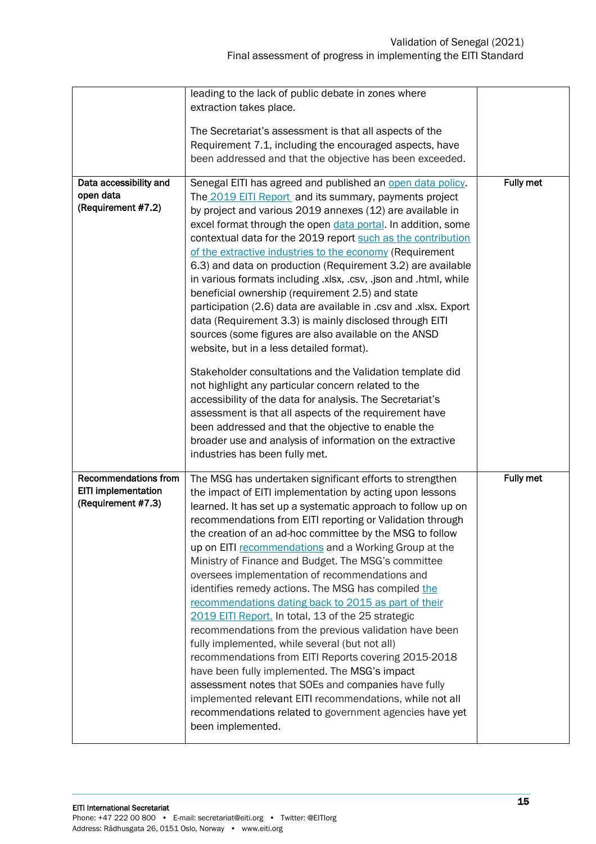|                                                                          | leading to the lack of public debate in zones where                                                                                                                                                                                                                                                                                                                                                                                                                                                                                                                                                                                                                                                                                                                                                                                                                                                                                                                                                                                                                          |           |
|--------------------------------------------------------------------------|------------------------------------------------------------------------------------------------------------------------------------------------------------------------------------------------------------------------------------------------------------------------------------------------------------------------------------------------------------------------------------------------------------------------------------------------------------------------------------------------------------------------------------------------------------------------------------------------------------------------------------------------------------------------------------------------------------------------------------------------------------------------------------------------------------------------------------------------------------------------------------------------------------------------------------------------------------------------------------------------------------------------------------------------------------------------------|-----------|
|                                                                          | extraction takes place.                                                                                                                                                                                                                                                                                                                                                                                                                                                                                                                                                                                                                                                                                                                                                                                                                                                                                                                                                                                                                                                      |           |
|                                                                          | The Secretariat's assessment is that all aspects of the<br>Requirement 7.1, including the encouraged aspects, have<br>been addressed and that the objective has been exceeded.                                                                                                                                                                                                                                                                                                                                                                                                                                                                                                                                                                                                                                                                                                                                                                                                                                                                                               |           |
| Data accessibility and<br>open data<br>(Requirement #7.2)                | Senegal EITI has agreed and published an open data policy.<br>The 2019 EITI Report and its summary, payments project<br>by project and various 2019 annexes (12) are available in<br>excel format through the open data portal. In addition, some<br>contextual data for the 2019 report such as the contribution<br>of the extractive industries to the economy (Requirement<br>6.3) and data on production (Requirement 3.2) are available<br>in various formats including .xlsx, .csv, .json and .html, while<br>beneficial ownership (requirement 2.5) and state<br>participation (2.6) data are available in .csv and .xlsx. Export<br>data (Requirement 3.3) is mainly disclosed through EITI<br>sources (some figures are also available on the ANSD<br>website, but in a less detailed format).<br>Stakeholder consultations and the Validation template did                                                                                                                                                                                                         | Fully met |
|                                                                          | not highlight any particular concern related to the<br>accessibility of the data for analysis. The Secretariat's<br>assessment is that all aspects of the requirement have<br>been addressed and that the objective to enable the<br>broader use and analysis of information on the extractive<br>industries has been fully met.                                                                                                                                                                                                                                                                                                                                                                                                                                                                                                                                                                                                                                                                                                                                             |           |
| <b>Recommendations from</b><br>EITI implementation<br>(Requirement #7.3) | The MSG has undertaken significant efforts to strengthen<br>the impact of EITI implementation by acting upon lessons<br>learned. It has set up a systematic approach to follow up on<br>recommendations from EITI reporting or Validation through<br>the creation of an ad-hoc committee by the MSG to follow<br>up on EITI recommendations and a Working Group at the<br>Ministry of Finance and Budget. The MSG's committee<br>oversees implementation of recommendations and<br>identifies remedy actions. The MSG has compiled the<br>recommendations dating back to 2015 as part of their<br>2019 EITI Report. In total, 13 of the 25 strategic<br>recommendations from the previous validation have been<br>fully implemented, while several (but not all)<br>recommendations from EITI Reports covering 2015-2018<br>have been fully implemented. The MSG's impact<br>assessment notes that SOEs and companies have fully<br>implemented relevant EITI recommendations, while not all<br>recommendations related to government agencies have yet<br>been implemented. | Fully met |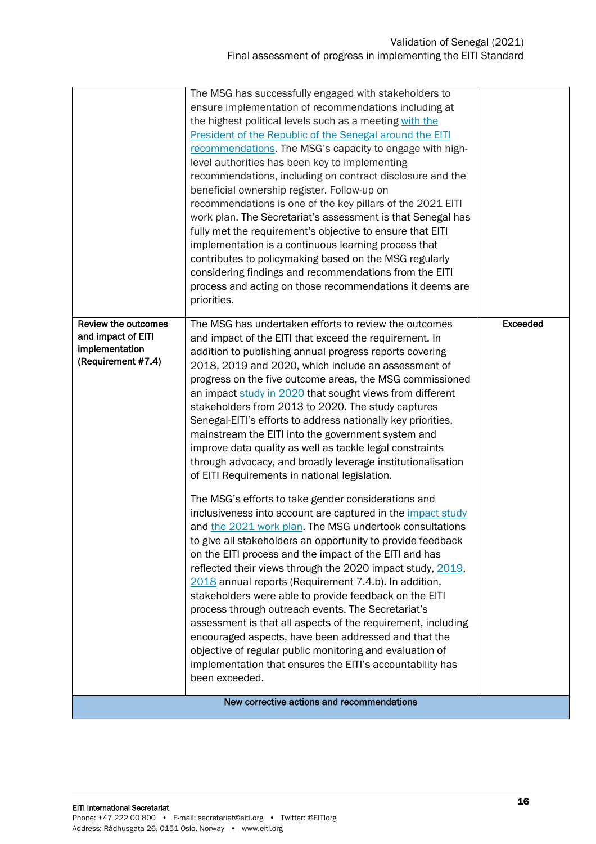|                                                                                          | The MSG has successfully engaged with stakeholders to<br>ensure implementation of recommendations including at<br>the highest political levels such as a meeting with the<br>President of the Republic of the Senegal around the EITI<br>recommendations. The MSG's capacity to engage with high-<br>level authorities has been key to implementing<br>recommendations, including on contract disclosure and the<br>beneficial ownership register. Follow-up on<br>recommendations is one of the key pillars of the 2021 EITI<br>work plan. The Secretariat's assessment is that Senegal has<br>fully met the requirement's objective to ensure that EITI<br>implementation is a continuous learning process that<br>contributes to policymaking based on the MSG regularly<br>considering findings and recommendations from the EITI<br>process and acting on those recommendations it deems are<br>priorities. |                 |
|------------------------------------------------------------------------------------------|------------------------------------------------------------------------------------------------------------------------------------------------------------------------------------------------------------------------------------------------------------------------------------------------------------------------------------------------------------------------------------------------------------------------------------------------------------------------------------------------------------------------------------------------------------------------------------------------------------------------------------------------------------------------------------------------------------------------------------------------------------------------------------------------------------------------------------------------------------------------------------------------------------------|-----------------|
| <b>Review the outcomes</b><br>and impact of EITI<br>implementation<br>(Requirement #7.4) | The MSG has undertaken efforts to review the outcomes<br>and impact of the EITI that exceed the requirement. In<br>addition to publishing annual progress reports covering<br>2018, 2019 and 2020, which include an assessment of<br>progress on the five outcome areas, the MSG commissioned<br>an impact study in 2020 that sought views from different<br>stakeholders from 2013 to 2020. The study captures<br>Senegal-EITI's efforts to address nationally key priorities,<br>mainstream the EITI into the government system and<br>improve data quality as well as tackle legal constraints<br>through advocacy, and broadly leverage institutionalisation<br>of EITI Requirements in national legislation.                                                                                                                                                                                                | <b>Exceeded</b> |
|                                                                                          | The MSG's efforts to take gender considerations and<br>inclusiveness into account are captured in the impact study<br>and the 2021 work plan. The MSG undertook consultations<br>to give all stakeholders an opportunity to provide feedback<br>on the EITI process and the impact of the EITI and has<br>reflected their views through the 2020 impact study, 2019,<br>2018 annual reports (Requirement 7.4.b). In addition,<br>stakeholders were able to provide feedback on the EITI<br>process through outreach events. The Secretariat's<br>assessment is that all aspects of the requirement, including<br>encouraged aspects, have been addressed and that the<br>objective of regular public monitoring and evaluation of<br>implementation that ensures the EITI's accountability has<br>been exceeded.                                                                                                 |                 |
|                                                                                          | New corrective actions and recommendations                                                                                                                                                                                                                                                                                                                                                                                                                                                                                                                                                                                                                                                                                                                                                                                                                                                                       |                 |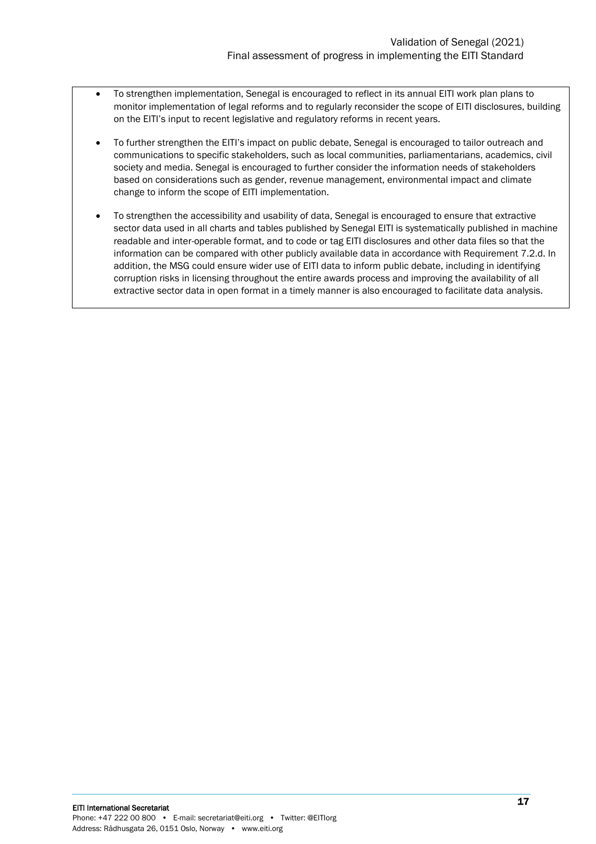- To strengthen implementation, Senegal is encouraged to reflect in its annual EITI work plan plans to monitor implementation of legal reforms and to regularly reconsider the scope of EITI disclosures, building on the EITI's input to recent legislative and regulatory reforms in recent years.
- To further strengthen the EITI's impact on public debate, Senegal is encouraged to tailor outreach and communications to specific stakeholders, such as local communities, parliamentarians, academics, civil society and media. Senegal is encouraged to further consider the information needs of stakeholders based on considerations such as gender, revenue management, environmental impact and climate change to inform the scope of EITI implementation.
- <span id="page-16-0"></span>• To strengthen the accessibility and usability of data, Senegal is encouraged to ensure that extractive sector data used in all charts and tables published by Senegal EITI is systematically published in machine readable and inter-operable format, and to code or tag EITI disclosures and other data files so that the information can be compared with other publicly available data in accordance with Requirement 7.2.d. In addition, the MSG could ensure wider use of EITI data to inform public debate, including in identifying corruption risks in licensing throughout the entire awards process and improving the availability of all extractive sector data in open format in a timely manner is also encouraged to facilitate data analysis.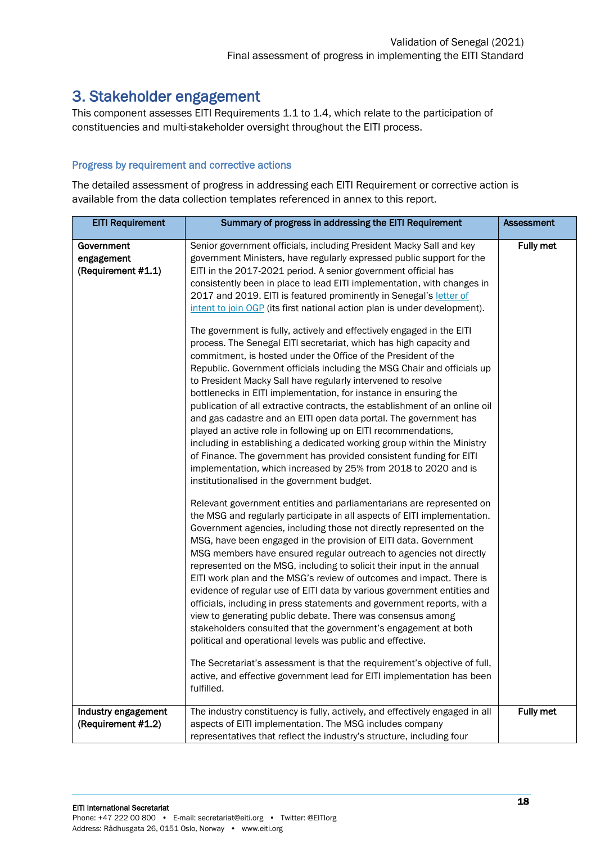## 3. Stakeholder engagement

This component assesses EITI Requirements 1.1 to 1.4, which relate to the participation of constituencies and multi-stakeholder oversight throughout the EITI process.

#### Progress by requirement and corrective actions

The detailed assessment of progress in addressing each EITI Requirement or corrective action is available from the data collection templates referenced in annex to this report.

| <b>EITI Requirement</b>                        | Summary of progress in addressing the EITI Requirement                                                                                                                                                                                                                                                                                                                                                                                                                                                                                                                                                                                                                                                                                                                                                                                                                                                                                                                                                                                                                                                                                                                                                                                                                                                                                                                                                                                                                                                                                                                                                                                                                                                                                                                                                                                                                                                                                                                                                                                                                                                                                                                                                                                                                                                                                                                                                      | <b>Assessment</b> |
|------------------------------------------------|-------------------------------------------------------------------------------------------------------------------------------------------------------------------------------------------------------------------------------------------------------------------------------------------------------------------------------------------------------------------------------------------------------------------------------------------------------------------------------------------------------------------------------------------------------------------------------------------------------------------------------------------------------------------------------------------------------------------------------------------------------------------------------------------------------------------------------------------------------------------------------------------------------------------------------------------------------------------------------------------------------------------------------------------------------------------------------------------------------------------------------------------------------------------------------------------------------------------------------------------------------------------------------------------------------------------------------------------------------------------------------------------------------------------------------------------------------------------------------------------------------------------------------------------------------------------------------------------------------------------------------------------------------------------------------------------------------------------------------------------------------------------------------------------------------------------------------------------------------------------------------------------------------------------------------------------------------------------------------------------------------------------------------------------------------------------------------------------------------------------------------------------------------------------------------------------------------------------------------------------------------------------------------------------------------------------------------------------------------------------------------------------------------------|-------------------|
| Government<br>engagement<br>(Requirement #1.1) | Senior government officials, including President Macky Sall and key<br>government Ministers, have regularly expressed public support for the<br>EITI in the 2017-2021 period. A senior government official has<br>consistently been in place to lead EITI implementation, with changes in<br>2017 and 2019. EITI is featured prominently in Senegal's letter of<br>intent to join OGP (its first national action plan is under development).<br>The government is fully, actively and effectively engaged in the EITI<br>process. The Senegal EITI secretariat, which has high capacity and<br>commitment, is hosted under the Office of the President of the<br>Republic. Government officials including the MSG Chair and officials up<br>to President Macky Sall have regularly intervened to resolve<br>bottlenecks in EITI implementation, for instance in ensuring the<br>publication of all extractive contracts, the establishment of an online oil<br>and gas cadastre and an EITI open data portal. The government has<br>played an active role in following up on EITI recommendations,<br>including in establishing a dedicated working group within the Ministry<br>of Finance. The government has provided consistent funding for EITI<br>implementation, which increased by 25% from 2018 to 2020 and is<br>institutionalised in the government budget.<br>Relevant government entities and parliamentarians are represented on<br>the MSG and regularly participate in all aspects of EITI implementation.<br>Government agencies, including those not directly represented on the<br>MSG, have been engaged in the provision of EITI data. Government<br>MSG members have ensured regular outreach to agencies not directly<br>represented on the MSG, including to solicit their input in the annual<br>EITI work plan and the MSG's review of outcomes and impact. There is<br>evidence of regular use of EITI data by various government entities and<br>officials, including in press statements and government reports, with a<br>view to generating public debate. There was consensus among<br>stakeholders consulted that the government's engagement at both<br>political and operational levels was public and effective.<br>The Secretariat's assessment is that the requirement's objective of full,<br>active, and effective government lead for EITI implementation has been | Fully met         |
| Industry engagement<br>(Requirement #1.2)      | fulfilled.<br>The industry constituency is fully, actively, and effectively engaged in all<br>aspects of EITI implementation. The MSG includes company<br>representatives that reflect the industry's structure, including four                                                                                                                                                                                                                                                                                                                                                                                                                                                                                                                                                                                                                                                                                                                                                                                                                                                                                                                                                                                                                                                                                                                                                                                                                                                                                                                                                                                                                                                                                                                                                                                                                                                                                                                                                                                                                                                                                                                                                                                                                                                                                                                                                                             | Fully met         |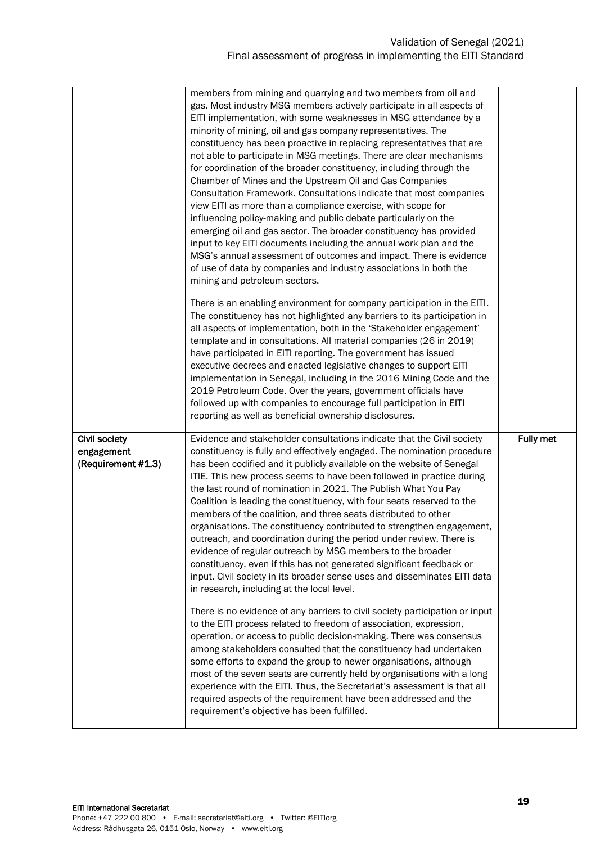|                                                          | members from mining and quarrying and two members from oil and<br>gas. Most industry MSG members actively participate in all aspects of<br>EITI implementation, with some weaknesses in MSG attendance by a<br>minority of mining, oil and gas company representatives. The<br>constituency has been proactive in replacing representatives that are<br>not able to participate in MSG meetings. There are clear mechanisms<br>for coordination of the broader constituency, including through the<br>Chamber of Mines and the Upstream Oil and Gas Companies<br>Consultation Framework. Consultations indicate that most companies<br>view EITI as more than a compliance exercise, with scope for<br>influencing policy-making and public debate particularly on the<br>emerging oil and gas sector. The broader constituency has provided<br>input to key EITI documents including the annual work plan and the<br>MSG's annual assessment of outcomes and impact. There is evidence<br>of use of data by companies and industry associations in both the<br>mining and petroleum sectors.<br>There is an enabling environment for company participation in the EITI.<br>The constituency has not highlighted any barriers to its participation in<br>all aspects of implementation, both in the 'Stakeholder engagement'<br>template and in consultations. All material companies (26 in 2019)<br>have participated in EITI reporting. The government has issued<br>executive decrees and enacted legislative changes to support EITI<br>implementation in Senegal, including in the 2016 Mining Code and the<br>2019 Petroleum Code. Over the years, government officials have<br>followed up with companies to encourage full participation in EITI<br>reporting as well as beneficial ownership disclosures. |                  |
|----------------------------------------------------------|---------------------------------------------------------------------------------------------------------------------------------------------------------------------------------------------------------------------------------------------------------------------------------------------------------------------------------------------------------------------------------------------------------------------------------------------------------------------------------------------------------------------------------------------------------------------------------------------------------------------------------------------------------------------------------------------------------------------------------------------------------------------------------------------------------------------------------------------------------------------------------------------------------------------------------------------------------------------------------------------------------------------------------------------------------------------------------------------------------------------------------------------------------------------------------------------------------------------------------------------------------------------------------------------------------------------------------------------------------------------------------------------------------------------------------------------------------------------------------------------------------------------------------------------------------------------------------------------------------------------------------------------------------------------------------------------------------------------------------------------------------------------------------------------------------------------|------------------|
| <b>Civil society</b><br>engagement<br>(Requirement #1.3) | Evidence and stakeholder consultations indicate that the Civil society<br>constituency is fully and effectively engaged. The nomination procedure<br>has been codified and it publicly available on the website of Senegal<br>ITIE. This new process seems to have been followed in practice during<br>the last round of nomination in 2021. The Publish What You Pay<br>Coalition is leading the constituency, with four seats reserved to the<br>members of the coalition, and three seats distributed to other<br>organisations. The constituency contributed to strengthen engagement,<br>outreach, and coordination during the period under review. There is<br>evidence of regular outreach by MSG members to the broader<br>constituency, even if this has not generated significant feedback or<br>input. Civil society in its broader sense uses and disseminates EITI data<br>in research, including at the local level.<br>There is no evidence of any barriers to civil society participation or input<br>to the EITI process related to freedom of association, expression,<br>operation, or access to public decision-making. There was consensus<br>among stakeholders consulted that the constituency had undertaken<br>some efforts to expand the group to newer organisations, although<br>most of the seven seats are currently held by organisations with a long<br>experience with the EITI. Thus, the Secretariat's assessment is that all<br>required aspects of the requirement have been addressed and the<br>requirement's objective has been fulfilled.                                                                                                                                                                                                                                  | <b>Fully met</b> |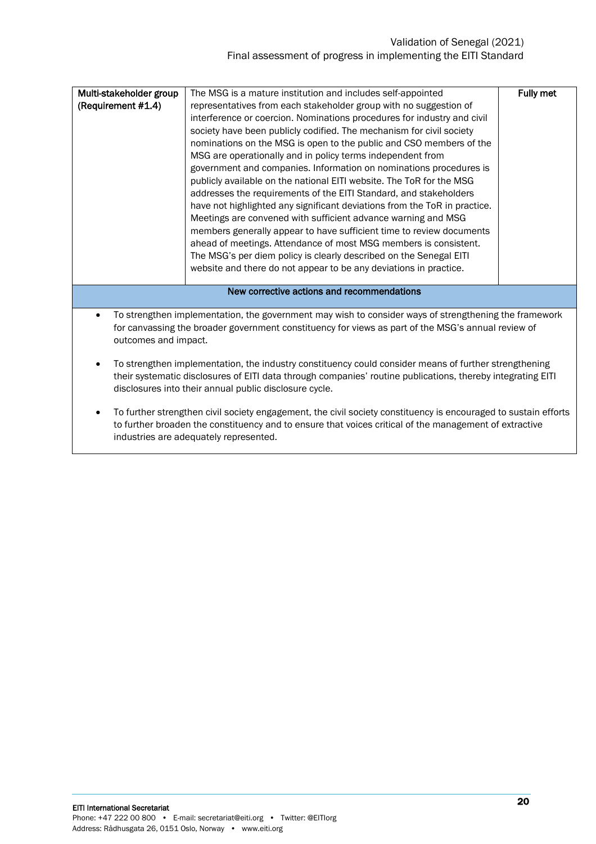#### Validation of Senegal (2021) Final assessment of progress in implementing the EITI Standard

| Multi-stakeholder group<br>(Requirement #1.4) | The MSG is a mature institution and includes self-appointed<br>representatives from each stakeholder group with no suggestion of<br>interference or coercion. Nominations procedures for industry and civil<br>society have been publicly codified. The mechanism for civil society<br>nominations on the MSG is open to the public and CSO members of the<br>MSG are operationally and in policy terms independent from<br>government and companies. Information on nominations procedures is<br>publicly available on the national EITI website. The ToR for the MSG<br>addresses the requirements of the EITI Standard, and stakeholders<br>have not highlighted any significant deviations from the ToR in practice.<br>Meetings are convened with sufficient advance warning and MSG | Fully met |
|-----------------------------------------------|-------------------------------------------------------------------------------------------------------------------------------------------------------------------------------------------------------------------------------------------------------------------------------------------------------------------------------------------------------------------------------------------------------------------------------------------------------------------------------------------------------------------------------------------------------------------------------------------------------------------------------------------------------------------------------------------------------------------------------------------------------------------------------------------|-----------|
|                                               | The MSG's per diem policy is clearly described on the Senegal EITI<br>website and there do not appear to be any deviations in practice.                                                                                                                                                                                                                                                                                                                                                                                                                                                                                                                                                                                                                                                   |           |
|                                               | New corrective actions and recommendations                                                                                                                                                                                                                                                                                                                                                                                                                                                                                                                                                                                                                                                                                                                                                |           |
| outcomes and impact.                          | To strengthen implementation, the government may wish to consider ways of strengthening the framework<br>for canvassing the broader government constituency for views as part of the MSG's annual review of                                                                                                                                                                                                                                                                                                                                                                                                                                                                                                                                                                               |           |

- To strengthen implementation, the industry constituency could consider means of further strengthening their systematic disclosures of EITI data through companies' routine publications, thereby integrating EITI disclosures into their annual public disclosure cycle.
- To further strengthen civil society engagement, the civil society constituency is encouraged to sustain efforts to further broaden the constituency and to ensure that voices critical of the management of extractive industries are adequately represented.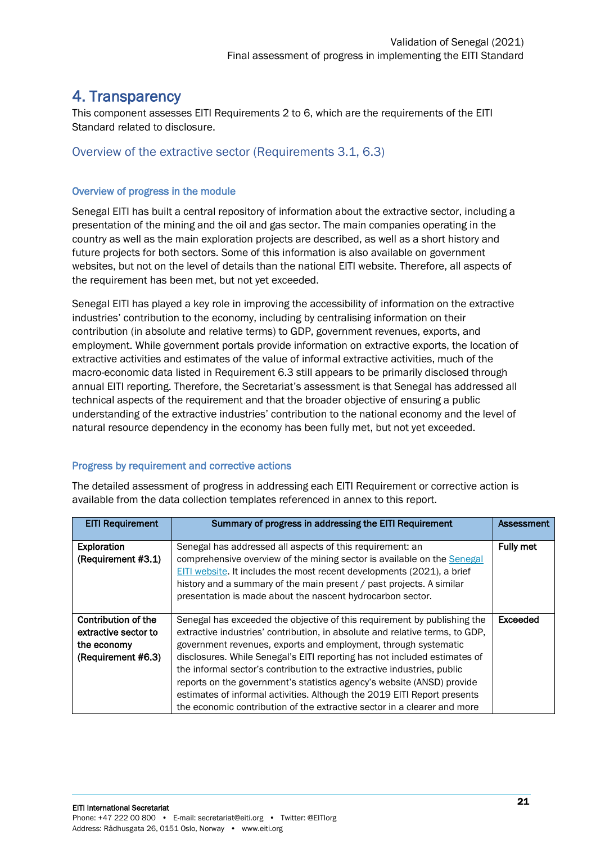## <span id="page-20-0"></span>4. Transparency

This component assesses EITI Requirements 2 to 6, which are the requirements of the EITI Standard related to disclosure.

#### <span id="page-20-1"></span>Overview of the extractive sector (Requirements 3.1, 6.3)

#### Overview of progress in the module

Senegal EITI has built a central repository of information about the extractive sector, including a presentation of the mining and the oil and gas sector. The main companies operating in the country as well as the main exploration projects are described, as well as a short history and future projects for both sectors. Some of this information is also available on government websites, but not on the level of details than the national EITI website. Therefore, all aspects of the requirement has been met, but not yet exceeded.

Senegal EITI has played a key role in improving the accessibility of information on the extractive industries' contribution to the economy, including by centralising information on their contribution (in absolute and relative terms) to GDP, government revenues, exports, and employment. While government portals provide information on extractive exports, the location of extractive activities and estimates of the value of informal extractive activities, much of the macro-economic data listed in Requirement 6.3 still appears to be primarily disclosed through annual EITI reporting. Therefore, the Secretariat's assessment is that Senegal has addressed all technical aspects of the requirement and that the broader objective of ensuring a public understanding of the extractive industries' contribution to the national economy and the level of natural resource dependency in the economy has been fully met, but not yet exceeded.

#### Progress by requirement and corrective actions

The detailed assessment of progress in addressing each EITI Requirement or corrective action is available from the data collection templates referenced in annex to this report.

| <b>EITI Requirement</b>                                                          | Summary of progress in addressing the EITI Requirement                                                                                                                                                                                                                                                                                                                                                                                                                                                                                                                                                                | Assessment       |
|----------------------------------------------------------------------------------|-----------------------------------------------------------------------------------------------------------------------------------------------------------------------------------------------------------------------------------------------------------------------------------------------------------------------------------------------------------------------------------------------------------------------------------------------------------------------------------------------------------------------------------------------------------------------------------------------------------------------|------------------|
| <b>Exploration</b><br>(Requirement #3.1)                                         | Senegal has addressed all aspects of this requirement: an<br>comprehensive overview of the mining sector is available on the Senegal<br>EITI website. It includes the most recent developments (2021), a brief<br>history and a summary of the main present / past projects. A similar<br>presentation is made about the nascent hydrocarbon sector.                                                                                                                                                                                                                                                                  | <b>Fully met</b> |
| Contribution of the<br>extractive sector to<br>the economy<br>(Requirement #6.3) | Senegal has exceeded the objective of this requirement by publishing the<br>extractive industries' contribution, in absolute and relative terms, to GDP,<br>government revenues, exports and employment, through systematic<br>disclosures. While Senegal's EITI reporting has not included estimates of<br>the informal sector's contribution to the extractive industries, public<br>reports on the government's statistics agency's website (ANSD) provide<br>estimates of informal activities. Although the 2019 EITI Report presents<br>the economic contribution of the extractive sector in a clearer and more | Exceeded         |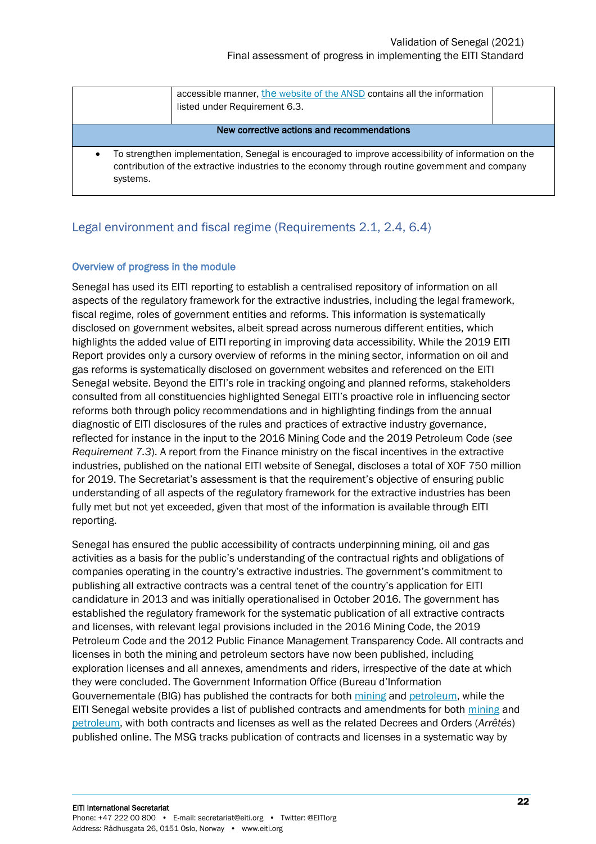|                                                                                                                                                                                                                   | accessible manner, the website of the ANSD contains all the information<br>listed under Requirement 6.3. |  |
|-------------------------------------------------------------------------------------------------------------------------------------------------------------------------------------------------------------------|----------------------------------------------------------------------------------------------------------|--|
|                                                                                                                                                                                                                   | New corrective actions and recommendations                                                               |  |
| To strengthen implementation, Senegal is encouraged to improve accessibility of information on the<br>contribution of the extractive industries to the economy through routine government and company<br>systems. |                                                                                                          |  |

#### <span id="page-21-0"></span>Legal environment and fiscal regime (Requirements 2.1, 2.4, 6.4)

#### Overview of progress in the module

Senegal has used its EITI reporting to establish a centralised repository of information on all aspects of the regulatory framework for the extractive industries, including the legal framework, fiscal regime, roles of government entities and reforms. This information is systematically disclosed on government websites, albeit spread across numerous different entities, which highlights the added value of EITI reporting in improving data accessibility. While the 2019 EITI Report provides only a cursory overview of reforms in the mining sector, information on oil and gas reforms is systematically disclosed on government websites and referenced on the EITI Senegal website. Beyond the EITI's role in tracking ongoing and planned reforms, stakeholders consulted from all constituencies highlighted Senegal EITI's proactive role in influencing sector reforms both through policy recommendations and in highlighting findings from the annual diagnostic of EITI disclosures of the rules and practices of extractive industry governance, reflected for instance in the input to the 2016 Mining Code and the 2019 Petroleum Code (*see Requirement 7.3*). A report from the Finance ministry on the fiscal incentives in the extractive industries, published on the national EITI website of Senegal, discloses a total of XOF 750 million for 2019. The Secretariat's assessment is that the requirement's objective of ensuring public understanding of all aspects of the regulatory framework for the extractive industries has been fully met but not yet exceeded, given that most of the information is available through EITI reporting.

Senegal has ensured the public accessibility of contracts underpinning mining, oil and gas activities as a basis for the public's understanding of the contractual rights and obligations of companies operating in the country's extractive industries. The government's commitment to publishing all extractive contracts was a central tenet of the country's application for EITI candidature in 2013 and was initially operationalised in October 2016. The government has established the regulatory framework for the systematic publication of all extractive contracts and licenses, with relevant legal provisions included in the 2016 Mining Code, the 2019 Petroleum Code and the 2012 Public Finance Management Transparency Code. All contracts and licenses in both the mining and petroleum sectors have now been published, including exploration licenses and all annexes, amendments and riders, irrespective of the date at which they were concluded. The Government Information Office (Bureau d'Information Gouvernementale (BIG) has published the contracts for both [mining](http://www.big.gouv.sn/index.php/contrats-miniers/) and [petroleum,](http://www.big.gouv.sn/index.php/les-contrats-petroliers/) while the EITI Senegal website provides a list of published contracts and amendments for both [mining](https://itie.sn/contrats-miniers/) and [petroleum,](https://itie.sn/contrats-petroliers/) with both contracts and licenses as well as the related Decrees and Orders (*Arrêtés*) published online. The MSG tracks publication of contracts and licenses in a systematic way by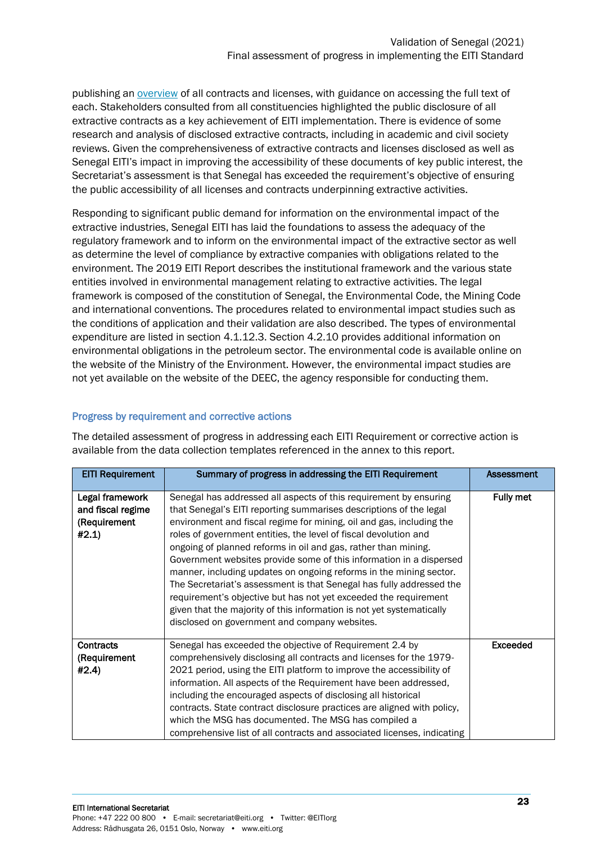publishing an [overview](https://itie.sn/?offshore_dl=7450) of all contracts and licenses, with guidance on accessing the full text of each. Stakeholders consulted from all constituencies highlighted the public disclosure of all extractive contracts as a key achievement of EITI implementation. There is evidence of some research and analysis of disclosed extractive contracts, including in academic and civil society reviews. Given the comprehensiveness of extractive contracts and licenses disclosed as well as Senegal EITI's impact in improving the accessibility of these documents of key public interest, the Secretariat's assessment is that Senegal has exceeded the requirement's objective of ensuring the public accessibility of all licenses and contracts underpinning extractive activities.

Responding to significant public demand for information on the environmental impact of the extractive industries, Senegal EITI has laid the foundations to assess the adequacy of the regulatory framework and to inform on the environmental impact of the extractive sector as well as determine the level of compliance by extractive companies with obligations related to the environment. The 2019 EITI Report describes the institutional framework and the various state entities involved in environmental management relating to extractive activities. The legal framework is composed of the constitution of Senegal, the Environmental Code, the Mining Code and international conventions. The procedures related to environmental impact studies such as the conditions of application and their validation are also described. The types of environmental expenditure are listed in section 4.1.12.3. Section 4.2.10 provides additional information on environmental obligations in the petroleum sector. The environmental code is available online on the website of the Ministry of the Environment. However, the environmental impact studies are not yet available on the website of the DEEC, the agency responsible for conducting them.

#### Progress by requirement and corrective actions

| <b>EITI Requirement</b>                                       | Summary of progress in addressing the EITI Requirement                                                                                                                                                                                                                                                                                                                                                                                                                                                                                                                                                                                                                                                                                                                   | <b>Assessment</b> |
|---------------------------------------------------------------|--------------------------------------------------------------------------------------------------------------------------------------------------------------------------------------------------------------------------------------------------------------------------------------------------------------------------------------------------------------------------------------------------------------------------------------------------------------------------------------------------------------------------------------------------------------------------------------------------------------------------------------------------------------------------------------------------------------------------------------------------------------------------|-------------------|
| Legal framework<br>and fiscal regime<br>(Requirement<br>#2.1) | Senegal has addressed all aspects of this requirement by ensuring<br>that Senegal's EITI reporting summarises descriptions of the legal<br>environment and fiscal regime for mining, oil and gas, including the<br>roles of government entities, the level of fiscal devolution and<br>ongoing of planned reforms in oil and gas, rather than mining.<br>Government websites provide some of this information in a dispersed<br>manner, including updates on ongoing reforms in the mining sector.<br>The Secretariat's assessment is that Senegal has fully addressed the<br>requirement's objective but has not yet exceeded the requirement<br>given that the majority of this information is not yet systematically<br>disclosed on government and company websites. | Fully met         |
| <b>Contracts</b><br>(Requirement<br>#2.4)                     | Senegal has exceeded the objective of Requirement 2.4 by<br>comprehensively disclosing all contracts and licenses for the 1979-<br>2021 period, using the EITI platform to improve the accessibility of<br>information. All aspects of the Requirement have been addressed,<br>including the encouraged aspects of disclosing all historical<br>contracts. State contract disclosure practices are aligned with policy,<br>which the MSG has documented. The MSG has compiled a<br>comprehensive list of all contracts and associated licenses, indicating                                                                                                                                                                                                               | <b>Exceeded</b>   |

The detailed assessment of progress in addressing each EITI Requirement or corrective action is available from the data collection templates referenced in the annex to this report.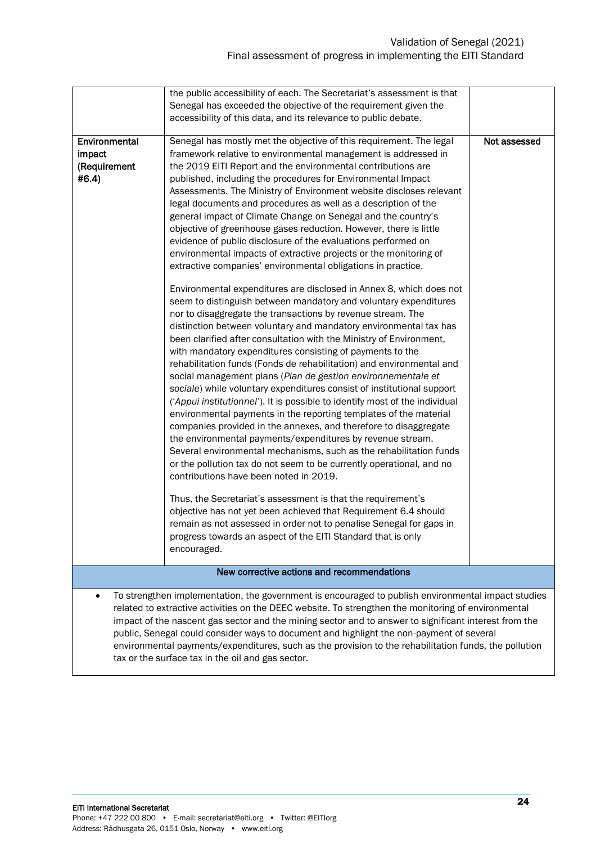|                                                                                                                                                                                                                                                                                                                                 | the public accessibility of each. The Secretariat's assessment is that<br>Senegal has exceeded the objective of the requirement given the<br>accessibility of this data, and its relevance to public debate.                                                                                                                                                                                                                                                                                                                                                                                                                                                                                                                                                                                                                                                                                                                                                                                                                                                                                                    |              |  |
|---------------------------------------------------------------------------------------------------------------------------------------------------------------------------------------------------------------------------------------------------------------------------------------------------------------------------------|-----------------------------------------------------------------------------------------------------------------------------------------------------------------------------------------------------------------------------------------------------------------------------------------------------------------------------------------------------------------------------------------------------------------------------------------------------------------------------------------------------------------------------------------------------------------------------------------------------------------------------------------------------------------------------------------------------------------------------------------------------------------------------------------------------------------------------------------------------------------------------------------------------------------------------------------------------------------------------------------------------------------------------------------------------------------------------------------------------------------|--------------|--|
| Environmental<br>impact<br>(Requirement<br>#6.4)                                                                                                                                                                                                                                                                                | Senegal has mostly met the objective of this requirement. The legal<br>framework relative to environmental management is addressed in<br>the 2019 EITI Report and the environmental contributions are<br>published, including the procedures for Environmental Impact<br>Assessments. The Ministry of Environment website discloses relevant<br>legal documents and procedures as well as a description of the<br>general impact of Climate Change on Senegal and the country's<br>objective of greenhouse gases reduction. However, there is little<br>evidence of public disclosure of the evaluations performed on<br>environmental impacts of extractive projects or the monitoring of<br>extractive companies' environmental obligations in practice.                                                                                                                                                                                                                                                                                                                                                      | Not assessed |  |
|                                                                                                                                                                                                                                                                                                                                 | Environmental expenditures are disclosed in Annex 8, which does not<br>seem to distinguish between mandatory and voluntary expenditures<br>nor to disaggregate the transactions by revenue stream. The<br>distinction between voluntary and mandatory environmental tax has<br>been clarified after consultation with the Ministry of Environment,<br>with mandatory expenditures consisting of payments to the<br>rehabilitation funds (Fonds de rehabilitation) and environmental and<br>social management plans (Plan de gestion environnementale et<br>sociale) while voluntary expenditures consist of institutional support<br>('Appui institutionnel'). It is possible to identify most of the individual<br>environmental payments in the reporting templates of the material<br>companies provided in the annexes, and therefore to disaggregate<br>the environmental payments/expenditures by revenue stream.<br>Several environmental mechanisms, such as the rehabilitation funds<br>or the pollution tax do not seem to be currently operational, and no<br>contributions have been noted in 2019. |              |  |
|                                                                                                                                                                                                                                                                                                                                 | Thus, the Secretariat's assessment is that the requirement's<br>objective has not yet been achieved that Requirement 6.4 should<br>remain as not assessed in order not to penalise Senegal for gaps in<br>progress towards an aspect of the EITI Standard that is only<br>encouraged.                                                                                                                                                                                                                                                                                                                                                                                                                                                                                                                                                                                                                                                                                                                                                                                                                           |              |  |
| New corrective actions and recommendations                                                                                                                                                                                                                                                                                      |                                                                                                                                                                                                                                                                                                                                                                                                                                                                                                                                                                                                                                                                                                                                                                                                                                                                                                                                                                                                                                                                                                                 |              |  |
| To strengthen implementation, the government is encouraged to publish environmental impact studies<br>$\bullet$<br>related to extractive activities on the DEEC website. To strengthen the monitoring of environmental<br>impact of the nascent gas sector and the mining sector and to answer to significant interest from the |                                                                                                                                                                                                                                                                                                                                                                                                                                                                                                                                                                                                                                                                                                                                                                                                                                                                                                                                                                                                                                                                                                                 |              |  |

public, Senegal could consider ways to document and highlight the non-payment of several environmental payments/expenditures, such as the provision to the rehabilitation funds, the pollution tax or the surface tax in the oil and gas sector.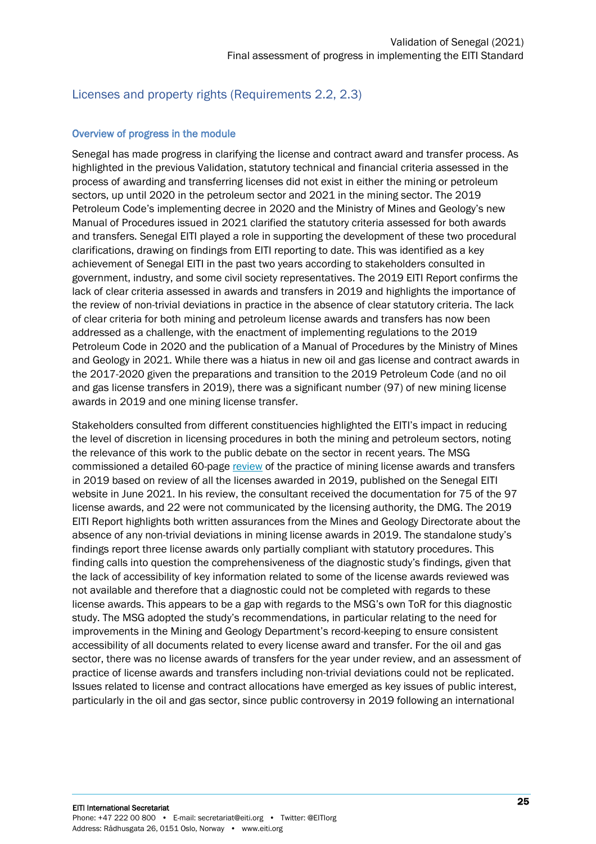#### <span id="page-24-0"></span>Licenses and property rights (Requirements 2.2, 2.3)

#### Overview of progress in the module

Senegal has made progress in clarifying the license and contract award and transfer process. As highlighted in the previous Validation, statutory technical and financial criteria assessed in the process of awarding and transferring licenses did not exist in either the mining or petroleum sectors, up until 2020 in the petroleum sector and 2021 in the mining sector. The 2019 Petroleum Code's implementing decree in 2020 and the Ministry of Mines and Geology's new Manual of Procedures issued in 2021 clarified the statutory criteria assessed for both awards and transfers. Senegal EITI played a role in supporting the development of these two procedural clarifications, drawing on findings from EITI reporting to date. This was identified as a key achievement of Senegal EITI in the past two years according to stakeholders consulted in government, industry, and some civil society representatives. The 2019 EITI Report confirms the lack of clear criteria assessed in awards and transfers in 2019 and highlights the importance of the review of non-trivial deviations in practice in the absence of clear statutory criteria. The lack of clear criteria for both mining and petroleum license awards and transfers has now been addressed as a challenge, with the enactment of implementing regulations to the 2019 Petroleum Code in 2020 and the publication of a Manual of Procedures by the Ministry of Mines and Geology in 2021. While there was a hiatus in new oil and gas license and contract awards in the 2017-2020 given the preparations and transition to the 2019 Petroleum Code (and no oil and gas license transfers in 2019), there was a significant number (97) of new mining license awards in 2019 and one mining license transfer.

Stakeholders consulted from different constituencies highlighted the EITI's impact in reducing the level of discretion in licensing procedures in both the mining and petroleum sectors, noting the relevance of this work to the public debate on the sector in recent years. The MSG commissioned a detailed 60-page [review](https://itie.sn/wp-content/uploads/2021/06/RAPPORT-POUR-ITIE-VERSION-DU-30-JUIN-2021-VFINALE.pdf) of the practice of mining license awards and transfers in 2019 based on review of all the licenses awarded in 2019, published on the Senegal EITI website in June 2021. In his review, the consultant received the documentation for 75 of the 97 license awards, and 22 were not communicated by the licensing authority, the DMG. The 2019 EITI Report highlights both written assurances from the Mines and Geology Directorate about the absence of any non-trivial deviations in mining license awards in 2019. The standalone study's findings report three license awards only partially compliant with statutory procedures. This finding calls into question the comprehensiveness of the diagnostic study's findings, given that the lack of accessibility of key information related to some of the license awards reviewed was not available and therefore that a diagnostic could not be completed with regards to these license awards. This appears to be a gap with regards to the MSG's own ToR for this diagnostic study. The MSG adopted the study's recommendations, in particular relating to the need for improvements in the Mining and Geology Department's record-keeping to ensure consistent accessibility of all documents related to every license award and transfer. For the oil and gas sector, there was no license awards of transfers for the year under review, and an assessment of practice of license awards and transfers including non-trivial deviations could not be replicated. Issues related to license and contract allocations have emerged as key issues of public interest, particularly in the oil and gas sector, since public controversy in 2019 following an international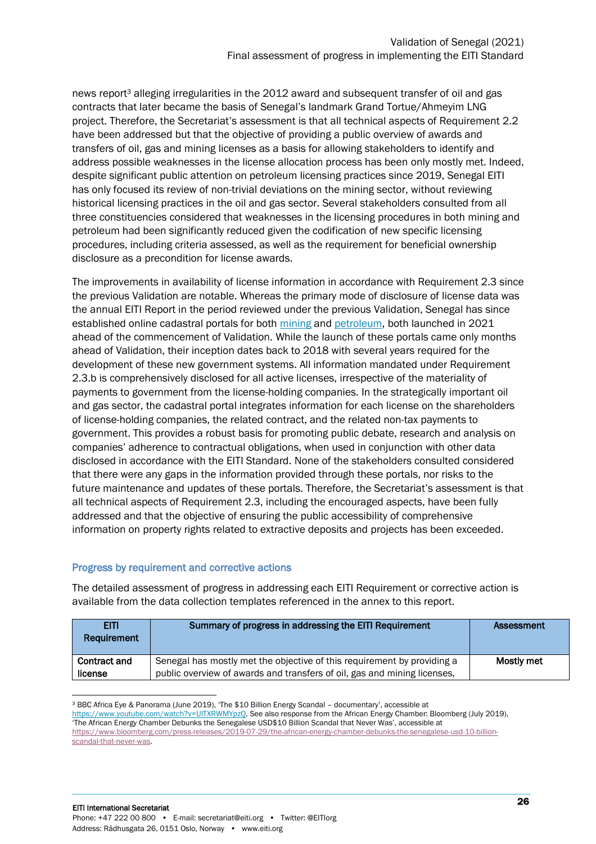news report<sup>3</sup> alleging irregularities in the 2012 award and subsequent transfer of oil and gas contracts that later became the basis of Senegal's landmark Grand Tortue/Ahmeyim LNG project. Therefore, the Secretariat's assessment is that all technical aspects of Requirement 2.2 have been addressed but that the objective of providing a public overview of awards and transfers of oil, gas and mining licenses as a basis for allowing stakeholders to identify and address possible weaknesses in the license allocation process has been only mostly met. Indeed, despite significant public attention on petroleum licensing practices since 2019, Senegal EITI has only focused its review of non-trivial deviations on the mining sector, without reviewing historical licensing practices in the oil and gas sector. Several stakeholders consulted from all three constituencies considered that weaknesses in the licensing procedures in both mining and petroleum had been significantly reduced given the codification of new specific licensing procedures, including criteria assessed, as well as the requirement for beneficial ownership disclosure as a precondition for license awards.

The improvements in availability of license information in accordance with Requirement 2.3 since the previous Validation are notable. Whereas the primary mode of disclosure of license data was the annual EITI Report in the period reviewed under the previous Validation, Senegal has since established online cadastral portals for both [mining](https://portals.landfolio.com/Senegal/fr/) and [petroleum,](https://cadastre-petrolier.senegal.revenuedev.org/) both launched in 2021 ahead of the commencement of Validation. While the launch of these portals came only months ahead of Validation, their inception dates back to 2018 with several years required for the development of these new government systems. All information mandated under Requirement 2.3.b is comprehensively disclosed for all active licenses, irrespective of the materiality of payments to government from the license-holding companies. In the strategically important oil and gas sector, the cadastral portal integrates information for each license on the shareholders of license-holding companies, the related contract, and the related non-tax payments to government. This provides a robust basis for promoting public debate, research and analysis on companies' adherence to contractual obligations, when used in conjunction with other data disclosed in accordance with the EITI Standard. None of the stakeholders consulted considered that there were any gaps in the information provided through these portals, nor risks to the future maintenance and updates of these portals. Therefore, the Secretariat's assessment is that all technical aspects of Requirement 2.3, including the encouraged aspects, have been fully addressed and that the objective of ensuring the public accessibility of comprehensive information on property rights related to extractive deposits and projects has been exceeded.

#### Progress by requirement and corrective actions

The detailed assessment of progress in addressing each EITI Requirement or corrective action is available from the data collection templates referenced in the annex to this report.

| EITI.<br>Requirement           | Summary of progress in addressing the EITI Requirement                                                                                              | Assessment |
|--------------------------------|-----------------------------------------------------------------------------------------------------------------------------------------------------|------------|
| <b>Contract and</b><br>license | Senegal has mostly met the objective of this requirement by providing a<br>public overview of awards and transfers of oil, gas and mining licenses, | Mostly met |

<sup>3</sup> BBC Africa Eye & Panorama (June 2019), 'The \$10 Billion Energy Scandal – documentary', accessible at [https://www.youtube.com/watch?v=UlTXRWMYpzQ.](https://www.youtube.com/watch?v=UlTXRWMYpzQ) See also response from the African Energy Chamber: Bloomberg (July 2019), 'The African Energy Chamber Debunks the Senegalese USD\$10 Billion Scandal that Never Was', accessible at [https://www.bloomberg.com/press-releases/2019-07-29/the-african-energy-chamber-debunks-the-senegalese-usd-10-billion](https://www.bloomberg.com/press-releases/2019-07-29/the-african-energy-chamber-debunks-the-senegalese-usd-10-billion-scandal-that-never-was)[scandal-that-never-was.](https://www.bloomberg.com/press-releases/2019-07-29/the-african-energy-chamber-debunks-the-senegalese-usd-10-billion-scandal-that-never-was)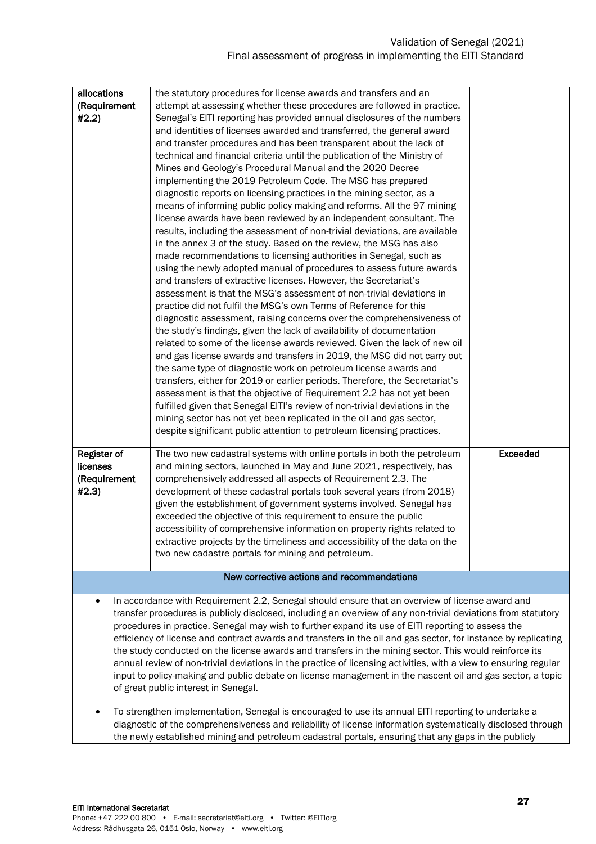| allocations                                                                                                      | the statutory procedures for license awards and transfers and an                                               |                 |  |  |
|------------------------------------------------------------------------------------------------------------------|----------------------------------------------------------------------------------------------------------------|-----------------|--|--|
| (Requirement                                                                                                     | attempt at assessing whether these procedures are followed in practice.                                        |                 |  |  |
| #2.2)                                                                                                            | Senegal's EITI reporting has provided annual disclosures of the numbers                                        |                 |  |  |
|                                                                                                                  | and identities of licenses awarded and transferred, the general award                                          |                 |  |  |
|                                                                                                                  | and transfer procedures and has been transparent about the lack of                                             |                 |  |  |
|                                                                                                                  | technical and financial criteria until the publication of the Ministry of                                      |                 |  |  |
|                                                                                                                  | Mines and Geology's Procedural Manual and the 2020 Decree                                                      |                 |  |  |
|                                                                                                                  | implementing the 2019 Petroleum Code. The MSG has prepared                                                     |                 |  |  |
|                                                                                                                  | diagnostic reports on licensing practices in the mining sector, as a                                           |                 |  |  |
|                                                                                                                  | means of informing public policy making and reforms. All the 97 mining                                         |                 |  |  |
|                                                                                                                  | license awards have been reviewed by an independent consultant. The                                            |                 |  |  |
|                                                                                                                  | results, including the assessment of non-trivial deviations, are available                                     |                 |  |  |
|                                                                                                                  | in the annex 3 of the study. Based on the review, the MSG has also                                             |                 |  |  |
|                                                                                                                  | made recommendations to licensing authorities in Senegal, such as                                              |                 |  |  |
|                                                                                                                  | using the newly adopted manual of procedures to assess future awards                                           |                 |  |  |
|                                                                                                                  | and transfers of extractive licenses. However, the Secretariat's                                               |                 |  |  |
|                                                                                                                  | assessment is that the MSG's assessment of non-trivial deviations in                                           |                 |  |  |
|                                                                                                                  |                                                                                                                |                 |  |  |
|                                                                                                                  | practice did not fulfil the MSG's own Terms of Reference for this                                              |                 |  |  |
|                                                                                                                  | diagnostic assessment, raising concerns over the comprehensiveness of                                          |                 |  |  |
|                                                                                                                  | the study's findings, given the lack of availability of documentation                                          |                 |  |  |
|                                                                                                                  | related to some of the license awards reviewed. Given the lack of new oil                                      |                 |  |  |
|                                                                                                                  | and gas license awards and transfers in 2019, the MSG did not carry out                                        |                 |  |  |
|                                                                                                                  | the same type of diagnostic work on petroleum license awards and                                               |                 |  |  |
|                                                                                                                  | transfers, either for 2019 or earlier periods. Therefore, the Secretariat's                                    |                 |  |  |
|                                                                                                                  | assessment is that the objective of Requirement 2.2 has not yet been                                           |                 |  |  |
|                                                                                                                  | fulfilled given that Senegal EITI's review of non-trivial deviations in the                                    |                 |  |  |
|                                                                                                                  | mining sector has not yet been replicated in the oil and gas sector,                                           |                 |  |  |
|                                                                                                                  | despite significant public attention to petroleum licensing practices.                                         |                 |  |  |
|                                                                                                                  |                                                                                                                |                 |  |  |
| Register of                                                                                                      | The two new cadastral systems with online portals in both the petroleum                                        | <b>Exceeded</b> |  |  |
| licenses                                                                                                         | and mining sectors, launched in May and June 2021, respectively, has                                           |                 |  |  |
| (Requirement                                                                                                     | comprehensively addressed all aspects of Requirement 2.3. The                                                  |                 |  |  |
| #2.3)                                                                                                            | development of these cadastral portals took several years (from 2018)                                          |                 |  |  |
|                                                                                                                  | given the establishment of government systems involved. Senegal has                                            |                 |  |  |
|                                                                                                                  | exceeded the objective of this requirement to ensure the public                                                |                 |  |  |
|                                                                                                                  | accessibility of comprehensive information on property rights related to                                       |                 |  |  |
|                                                                                                                  | extractive projects by the timeliness and accessibility of the data on the                                     |                 |  |  |
|                                                                                                                  | two new cadastre portals for mining and petroleum.                                                             |                 |  |  |
|                                                                                                                  |                                                                                                                |                 |  |  |
|                                                                                                                  | New corrective actions and recommendations                                                                     |                 |  |  |
| $\bullet$                                                                                                        | In accordance with Requirement 2.2, Senegal should ensure that an overview of license award and                |                 |  |  |
|                                                                                                                  | transfer procedures is publicly disclosed, including an overview of any non-trivial deviations from statutory  |                 |  |  |
|                                                                                                                  | procedures in practice. Senegal may wish to further expand its use of EITI reporting to assess the             |                 |  |  |
|                                                                                                                  | efficiency of license and contract awards and transfers in the oil and gas sector, for instance by replicating |                 |  |  |
|                                                                                                                  | the study conducted on the license awards and transfers in the mining sector. This would reinforce its         |                 |  |  |
| annual review of non-trivial deviations in the practice of licensing activities, with a view to ensuring regular |                                                                                                                |                 |  |  |
|                                                                                                                  | input to policy-making and public debate on license management in the nascent oil and gas sector, a topic      |                 |  |  |
|                                                                                                                  | of great public interest in Senegal.                                                                           |                 |  |  |
|                                                                                                                  |                                                                                                                |                 |  |  |
|                                                                                                                  | To strengthen implementation, Senegal is encouraged to use its annual EITI reporting to undertake a            |                 |  |  |

diagnostic of the comprehensiveness and reliability of license information systematically disclosed through the newly established mining and petroleum cadastral portals, ensuring that any gaps in the publicly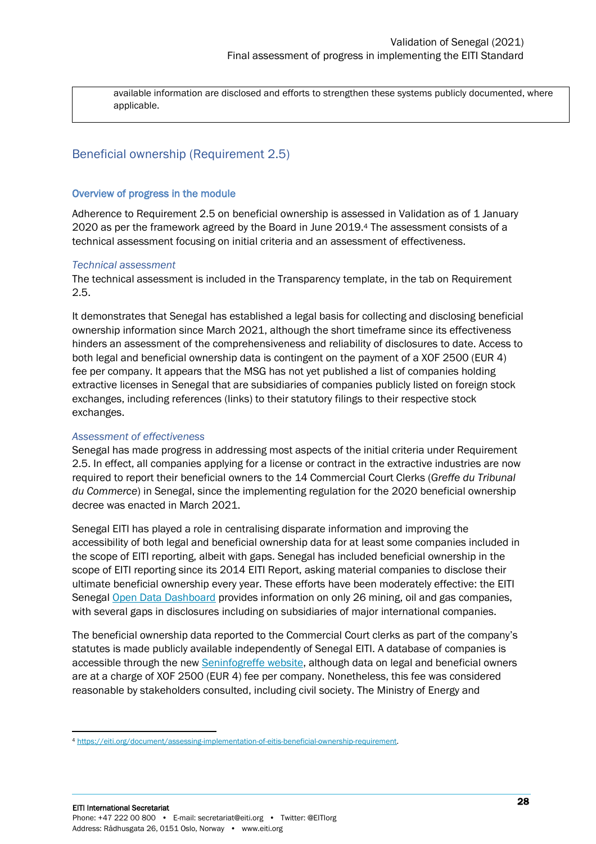available information are disclosed and efforts to strengthen these systems publicly documented, where applicable.

#### <span id="page-27-0"></span>Beneficial ownership (Requirement 2.5)

#### Overview of progress in the module

Adherence to Requirement 2.5 on beneficial ownership is assessed in Validation as of 1 January 2020 as per the framework agreed by the Board in June 2019.<sup>4</sup> The assessment consists of a technical assessment focusing on initial criteria and an assessment of effectiveness.

#### *Technical assessment*

The technical assessment is included in the Transparency template, in the tab on Requirement 2.5.

It demonstrates that Senegal has established a legal basis for collecting and disclosing beneficial ownership information since March 2021, although the short timeframe since its effectiveness hinders an assessment of the comprehensiveness and reliability of disclosures to date. Access to both legal and beneficial ownership data is contingent on the payment of a XOF 2500 (EUR 4) fee per company. It appears that the MSG has not yet published a list of companies holding extractive licenses in Senegal that are subsidiaries of companies publicly listed on foreign stock exchanges, including references (links) to their statutory filings to their respective stock exchanges.

#### *Assessment of effectiveness*

Senegal has made progress in addressing most aspects of the initial criteria under Requirement 2.5. In effect, all companies applying for a license or contract in the extractive industries are now required to report their beneficial owners to the 14 Commercial Court Clerks (*Greffe du Tribunal du Commerce*) in Senegal, since the implementing regulation for the 2020 beneficial ownership decree was enacted in March 2021.

Senegal EITI has played a role in centralising disparate information and improving the accessibility of both legal and beneficial ownership data for at least some companies included in the scope of EITI reporting, albeit with gaps. Senegal has included beneficial ownership in the scope of EITI reporting since its 2014 EITI Report, asking material companies to disclose their ultimate beneficial ownership every year. These efforts have been moderately effective: the EITI Senegal [Open Data Dashboard](https://donnees.itie.sn/dashboard/#b%C3%A9n%C3%A9ficiaires-effectifs) provides information on only 26 mining, oil and gas companies, with several gaps in disclosures including on subsidiaries of major international companies.

The beneficial ownership data reported to the Commercial Court clerks as part of the company's statutes is made publicly available independently of Senegal EITI. A database of companies is accessible through the new **Seninfogreffe website**, although data on legal and beneficial owners are at a charge of XOF 2500 (EUR 4) fee per company. Nonetheless, this fee was considered reasonable by stakeholders consulted, including civil society. The Ministry of Energy and

<sup>4</sup> [https://eiti.org/document/assessing-implementation-of-eitis-beneficial-ownership-requirement.](https://eiti.org/document/assessing-implementation-of-eitis-beneficial-ownership-requirement)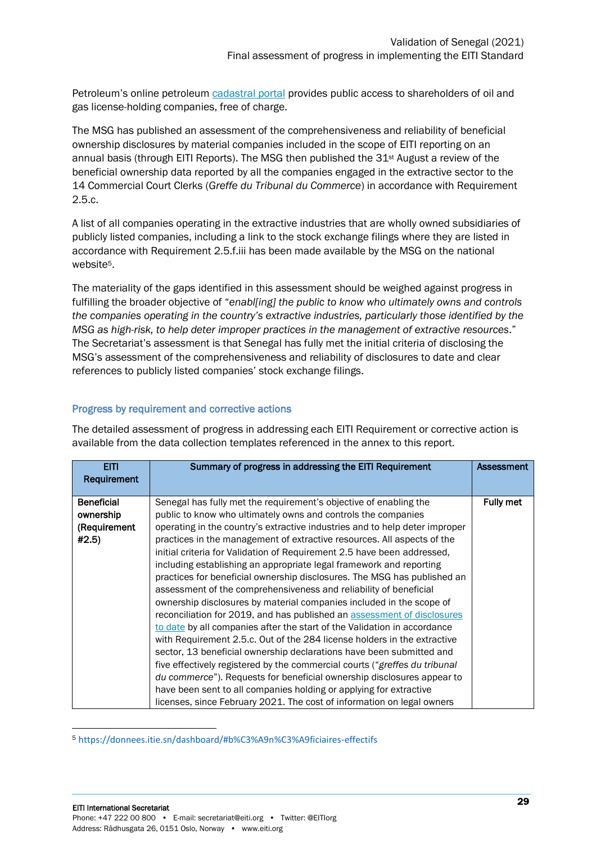Petroleum's online petroleum [cadastral portal](https://cadastre-petrolier.senegal.revenuedev.org/dashboard) provides public access to shareholders of oil and gas license-holding companies, free of charge.

The MSG has published an assessment of the comprehensiveness and reliability of beneficial ownership disclosures by material companies included in the scope of EITI reporting on an annual basis (through EITI Reports). The MSG then published the 31st August a review of the beneficial ownership data reported by all the companies engaged in the extractive sector to the 14 Commercial Court Clerks (*Greffe du Tribunal du Commerce*) in accordance with Requirement 2.5.c.

A list of all companies operating in the extractive industries that are wholly owned subsidiaries of publicly listed companies, including a link to the stock exchange filings where they are listed in accordance with Requirement 2.5.f.iii has been made available by the MSG on the national website<sup>5</sup>.

The materiality of the gaps identified in this assessment should be weighed against progress in fulfilling the broader objective of "*enabl[ing] the public to know who ultimately owns and controls the companies operating in the country's extractive industries, particularly those identified by the MSG as high-risk, to help deter improper practices in the management of extractive resources*." The Secretariat's assessment is that Senegal has fully met the initial criteria of disclosing the MSG's assessment of the comprehensiveness and reliability of disclosures to date and clear references to publicly listed companies' stock exchange filings.

#### Progress by requirement and corrective actions

The detailed assessment of progress in addressing each EITI Requirement or corrective action is available from the data collection templates referenced in the annex to this report.

| EITI<br>Requirement | Summary of progress in addressing the EITI Requirement                      | <b>Assessment</b> |
|---------------------|-----------------------------------------------------------------------------|-------------------|
| <b>Beneficial</b>   | Senegal has fully met the requirement's objective of enabling the           | <b>Fully met</b>  |
| ownership           | public to know who ultimately owns and controls the companies               |                   |
| (Requirement        | operating in the country's extractive industries and to help deter improper |                   |
| #2.5)               | practices in the management of extractive resources. All aspects of the     |                   |
|                     | initial criteria for Validation of Requirement 2.5 have been addressed,     |                   |
|                     | including establishing an appropriate legal framework and reporting         |                   |
|                     | practices for beneficial ownership disclosures. The MSG has published an    |                   |
|                     | assessment of the comprehensiveness and reliability of beneficial           |                   |
|                     | ownership disclosures by material companies included in the scope of        |                   |
|                     | reconciliation for 2019, and has published an assessment of disclosures     |                   |
|                     | to date by all companies after the start of the Validation in accordance    |                   |
|                     | with Requirement 2.5.c. Out of the 284 license holders in the extractive    |                   |
|                     | sector, 13 beneficial ownership declarations have been submitted and        |                   |
|                     | five effectively registered by the commercial courts ("greffes du tribunal  |                   |
|                     | du commerce"). Requests for beneficial ownership disclosures appear to      |                   |
|                     | have been sent to all companies holding or applying for extractive          |                   |
|                     | licenses, since February 2021. The cost of information on legal owners      |                   |

<sup>5</sup> https://donnees.itie.sn/dashboard/#b%C3%A9n%C3%A9ficiaires-effectifs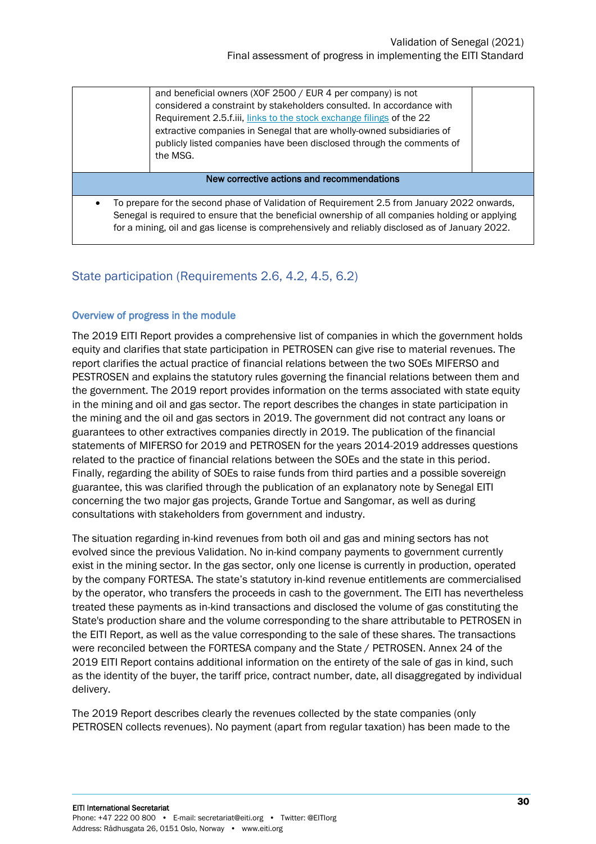|                                                                                                                                                                                                                                                                                                    | and beneficial owners (XOF 2500 / EUR 4 per company) is not<br>considered a constraint by stakeholders consulted. In accordance with<br>Requirement 2.5.f.iii, links to the stock exchange filings of the 22<br>extractive companies in Senegal that are wholly-owned subsidiaries of<br>publicly listed companies have been disclosed through the comments of<br>the MSG. |  |
|----------------------------------------------------------------------------------------------------------------------------------------------------------------------------------------------------------------------------------------------------------------------------------------------------|----------------------------------------------------------------------------------------------------------------------------------------------------------------------------------------------------------------------------------------------------------------------------------------------------------------------------------------------------------------------------|--|
| New corrective actions and recommendations                                                                                                                                                                                                                                                         |                                                                                                                                                                                                                                                                                                                                                                            |  |
| To prepare for the second phase of Validation of Requirement 2.5 from January 2022 onwards,<br>Senegal is required to ensure that the beneficial ownership of all companies holding or applying<br>for a mining, oil and gas license is comprehensively and reliably disclosed as of January 2022. |                                                                                                                                                                                                                                                                                                                                                                            |  |

#### <span id="page-29-0"></span>State participation (Requirements 2.6, 4.2, 4.5, 6.2)

#### Overview of progress in the module

The 2019 EITI Report provides a comprehensive list of companies in which the government holds equity and clarifies that state participation in PETROSEN can give rise to material revenues. The report clarifies the actual practice of financial relations between the two SOEs MIFERSO and PESTROSEN and explains the statutory rules governing the financial relations between them and the government. The 2019 report provides information on the terms associated with state equity in the mining and oil and gas sector. The report describes the changes in state participation in the mining and the oil and gas sectors in 2019. The government did not contract any loans or guarantees to other extractives companies directly in 2019. The publication of the financial statements of MIFERSO for 2019 and PETROSEN for the years 2014-2019 addresses questions related to the practice of financial relations between the SOEs and the state in this period. Finally, regarding the ability of SOEs to raise funds from third parties and a possible sovereign guarantee, this was clarified through the publication of an explanatory note by Senegal EITI concerning the two major gas projects, Grande Tortue and Sangomar, as well as during consultations with stakeholders from government and industry.

The situation regarding in-kind revenues from both oil and gas and mining sectors has not evolved since the previous Validation. No in-kind company payments to government currently exist in the mining sector. In the gas sector, only one license is currently in production, operated by the company FORTESA. The state's statutory in-kind revenue entitlements are commercialised by the operator, who transfers the proceeds in cash to the government. The EITI has nevertheless treated these payments as in-kind transactions and disclosed the volume of gas constituting the State's production share and the volume corresponding to the share attributable to PETROSEN in the EITI Report, as well as the value corresponding to the sale of these shares. The transactions were reconciled between the FORTESA company and the State / PETROSEN. Annex 24 of the 2019 EITI Report contains additional information on the entirety of the sale of gas in kind, such as the identity of the buyer, the tariff price, contract number, date, all disaggregated by individual delivery.

The 2019 Report describes clearly the revenues collected by the state companies (only PETROSEN collects revenues). No payment (apart from regular taxation) has been made to the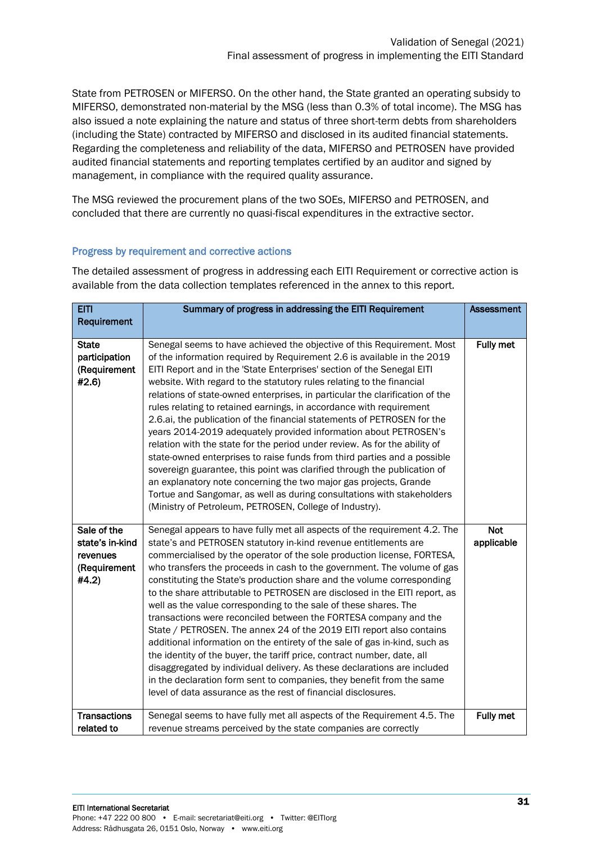State from PETROSEN or MIFERSO. On the other hand, the State granted an operating subsidy to MIFERSO, demonstrated non-material by the MSG (less than 0.3% of total income). The MSG has also issued a note explaining the nature and status of three short-term debts from shareholders (including the State) contracted by MIFERSO and disclosed in its audited financial statements. Regarding the completeness and reliability of the data, MIFERSO and PETROSEN have provided audited financial statements and reporting templates certified by an auditor and signed by management, in compliance with the required quality assurance.

The MSG reviewed the procurement plans of the two SOEs, MIFERSO and PETROSEN, and concluded that there are currently no quasi-fiscal expenditures in the extractive sector.

#### Progress by requirement and corrective actions

The detailed assessment of progress in addressing each EITI Requirement or corrective action is available from the data collection templates referenced in the annex to this report.

| <b>EITI</b>                                                         | Summary of progress in addressing the EITI Requirement                                                                                                                                                                                                                                                                                                                                                                                                                                                                                                                                                                                                                                                                                                                                                                                                                                                                                                                                                                                                     | <b>Assessment</b>        |
|---------------------------------------------------------------------|------------------------------------------------------------------------------------------------------------------------------------------------------------------------------------------------------------------------------------------------------------------------------------------------------------------------------------------------------------------------------------------------------------------------------------------------------------------------------------------------------------------------------------------------------------------------------------------------------------------------------------------------------------------------------------------------------------------------------------------------------------------------------------------------------------------------------------------------------------------------------------------------------------------------------------------------------------------------------------------------------------------------------------------------------------|--------------------------|
| Requirement                                                         |                                                                                                                                                                                                                                                                                                                                                                                                                                                                                                                                                                                                                                                                                                                                                                                                                                                                                                                                                                                                                                                            |                          |
| <b>State</b><br>participation<br>(Requirement<br>#2.6)              | Senegal seems to have achieved the objective of this Requirement. Most<br>of the information required by Requirement 2.6 is available in the 2019<br>EITI Report and in the 'State Enterprises' section of the Senegal EITI<br>website. With regard to the statutory rules relating to the financial<br>relations of state-owned enterprises, in particular the clarification of the<br>rules relating to retained earnings, in accordance with requirement<br>2.6.ai, the publication of the financial statements of PETROSEN for the<br>years 2014-2019 adequately provided information about PETROSEN's<br>relation with the state for the period under review. As for the ability of<br>state-owned enterprises to raise funds from third parties and a possible<br>sovereign guarantee, this point was clarified through the publication of<br>an explanatory note concerning the two major gas projects, Grande<br>Tortue and Sangomar, as well as during consultations with stakeholders<br>(Ministry of Petroleum, PETROSEN, College of Industry). | <b>Fully met</b>         |
| Sale of the<br>state's in-kind<br>revenues<br>(Requirement<br>#4.2) | Senegal appears to have fully met all aspects of the requirement 4.2. The<br>state's and PETROSEN statutory in-kind revenue entitlements are<br>commercialised by the operator of the sole production license, FORTESA,<br>who transfers the proceeds in cash to the government. The volume of gas<br>constituting the State's production share and the volume corresponding<br>to the share attributable to PETROSEN are disclosed in the EITI report, as<br>well as the value corresponding to the sale of these shares. The<br>transactions were reconciled between the FORTESA company and the<br>State / PETROSEN. The annex 24 of the 2019 EITI report also contains<br>additional information on the entirety of the sale of gas in-kind, such as<br>the identity of the buyer, the tariff price, contract number, date, all<br>disaggregated by individual delivery. As these declarations are included<br>in the declaration form sent to companies, they benefit from the same<br>level of data assurance as the rest of financial disclosures.  | <b>Not</b><br>applicable |
| <b>Transactions</b>                                                 | Senegal seems to have fully met all aspects of the Requirement 4.5. The                                                                                                                                                                                                                                                                                                                                                                                                                                                                                                                                                                                                                                                                                                                                                                                                                                                                                                                                                                                    | <b>Fully met</b>         |
| related to                                                          | revenue streams perceived by the state companies are correctly                                                                                                                                                                                                                                                                                                                                                                                                                                                                                                                                                                                                                                                                                                                                                                                                                                                                                                                                                                                             |                          |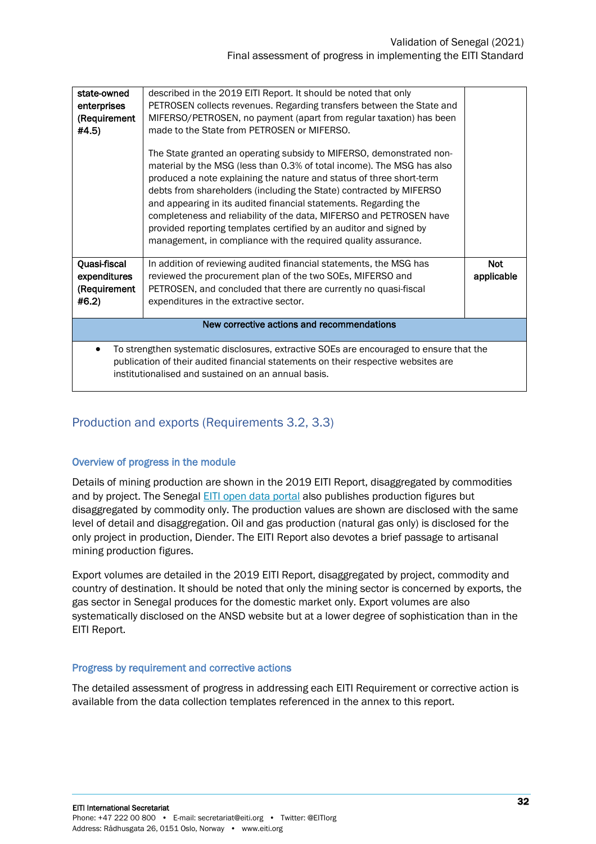| state-owned<br>enterprises<br>(Requirement<br>#4.5)                                                                                                                                                                                  | described in the 2019 EITI Report. It should be noted that only<br>PETROSEN collects revenues. Regarding transfers between the State and<br>MIFERSO/PETROSEN, no payment (apart from regular taxation) has been<br>made to the State from PETROSEN or MIFERSO.<br>The State granted an operating subsidy to MIFERSO, demonstrated non-<br>material by the MSG (less than 0.3% of total income). The MSG has also<br>produced a note explaining the nature and status of three short-term<br>debts from shareholders (including the State) contracted by MIFERSO<br>and appearing in its audited financial statements. Regarding the<br>completeness and reliability of the data, MIFERSO and PETROSEN have<br>provided reporting templates certified by an auditor and signed by<br>management, in compliance with the required quality assurance. |                          |
|--------------------------------------------------------------------------------------------------------------------------------------------------------------------------------------------------------------------------------------|----------------------------------------------------------------------------------------------------------------------------------------------------------------------------------------------------------------------------------------------------------------------------------------------------------------------------------------------------------------------------------------------------------------------------------------------------------------------------------------------------------------------------------------------------------------------------------------------------------------------------------------------------------------------------------------------------------------------------------------------------------------------------------------------------------------------------------------------------|--------------------------|
| Quasi-fiscal<br>expenditures<br>(Requirement<br>#6.2)                                                                                                                                                                                | In addition of reviewing audited financial statements, the MSG has<br>reviewed the procurement plan of the two SOEs, MIFERSO and<br>PETROSEN, and concluded that there are currently no quasi-fiscal<br>expenditures in the extractive sector.                                                                                                                                                                                                                                                                                                                                                                                                                                                                                                                                                                                                     | <b>Not</b><br>applicable |
| New corrective actions and recommendations                                                                                                                                                                                           |                                                                                                                                                                                                                                                                                                                                                                                                                                                                                                                                                                                                                                                                                                                                                                                                                                                    |                          |
| To strengthen systematic disclosures, extractive SOEs are encouraged to ensure that the<br>publication of their audited financial statements on their respective websites are<br>institutionalised and sustained on an annual basis. |                                                                                                                                                                                                                                                                                                                                                                                                                                                                                                                                                                                                                                                                                                                                                                                                                                                    |                          |

#### <span id="page-31-0"></span>Production and exports (Requirements 3.2, 3.3)

#### Overview of progress in the module

Details of mining production are shown in the 2019 EITI Report, disaggregated by commodities and by project. The Senegal [EITI open data portal](https://itiesenegal.revenuedev.org/home) also publishes production figures but disaggregated by commodity only. The production values are shown are disclosed with the same level of detail and disaggregation. Oil and gas production (natural gas only) is disclosed for the only project in production, Diender. The EITI Report also devotes a brief passage to artisanal mining production figures.

Export volumes are detailed in the 2019 EITI Report, disaggregated by project, commodity and country of destination. It should be noted that only the mining sector is concerned by exports, the gas sector in Senegal produces for the domestic market only. Export volumes are also systematically disclosed on the ANSD website but at a lower degree of sophistication than in the EITI Report.

#### Progress by requirement and corrective actions

The detailed assessment of progress in addressing each EITI Requirement or corrective action is available from the data collection templates referenced in the annex to this report.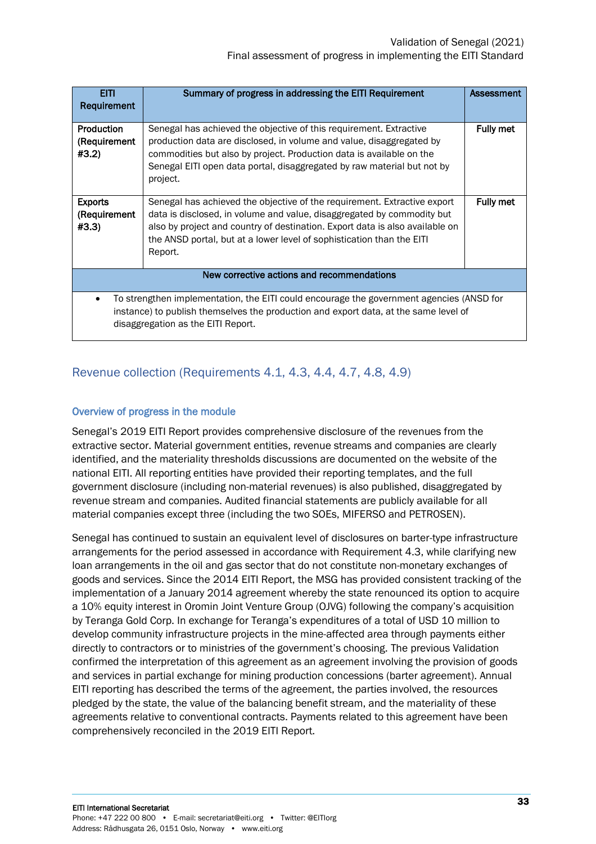| <b>EITI</b><br>Requirement                                                                                                                                                                                             | Summary of progress in addressing the EITI Requirement                                                                                                                                                                                                                                                                 | Assessment       |
|------------------------------------------------------------------------------------------------------------------------------------------------------------------------------------------------------------------------|------------------------------------------------------------------------------------------------------------------------------------------------------------------------------------------------------------------------------------------------------------------------------------------------------------------------|------------------|
| Production<br>(Requirement<br>#3.2)                                                                                                                                                                                    | Senegal has achieved the objective of this requirement. Extractive<br>production data are disclosed, in volume and value, disaggregated by<br>commodities but also by project. Production data is available on the<br>Senegal EITI open data portal, disaggregated by raw material but not by<br>project.              | <b>Fully met</b> |
| <b>Exports</b><br>(Requirement)<br>#3.3)                                                                                                                                                                               | Senegal has achieved the objective of the requirement. Extractive export<br>data is disclosed, in volume and value, disaggregated by commodity but<br>also by project and country of destination. Export data is also available on<br>the ANSD portal, but at a lower level of sophistication than the EITI<br>Report. | Fully met        |
| New corrective actions and recommendations                                                                                                                                                                             |                                                                                                                                                                                                                                                                                                                        |                  |
| To strengthen implementation, the EITI could encourage the government agencies (ANSD for<br>instance) to publish themselves the production and export data, at the same level of<br>disaggregation as the EITI Report. |                                                                                                                                                                                                                                                                                                                        |                  |

### <span id="page-32-0"></span>Revenue collection (Requirements 4.1, 4.3, 4.4, 4.7, 4.8, 4.9)

#### Overview of progress in the module

Senegal's 2019 EITI Report provides comprehensive disclosure of the revenues from the extractive sector. Material government entities, revenue streams and companies are clearly identified, and the materiality thresholds discussions are documented on the website of the national EITI. All reporting entities have provided their reporting templates, and the full government disclosure (including non-material revenues) is also published, disaggregated by revenue stream and companies. Audited financial statements are publicly available for all material companies except three (including the two SOEs, MIFERSO and PETROSEN).

Senegal has continued to sustain an equivalent level of disclosures on barter-type infrastructure arrangements for the period assessed in accordance with Requirement 4.3, while clarifying new loan arrangements in the oil and gas sector that do not constitute non-monetary exchanges of goods and services. Since the 2014 EITI Report, the MSG has provided consistent tracking of the implementation of a January 2014 agreement whereby the state renounced its option to acquire a 10% equity interest in Oromin Joint Venture Group (OJVG) following the company's acquisition by Teranga Gold Corp. In exchange for Teranga's expenditures of a total of USD 10 million to develop community infrastructure projects in the mine-affected area through payments either directly to contractors or to ministries of the government's choosing. The previous Validation confirmed the interpretation of this agreement as an agreement involving the provision of goods and services in partial exchange for mining production concessions (barter agreement). Annual EITI reporting has described the terms of the agreement, the parties involved, the resources pledged by the state, the value of the balancing benefit stream, and the materiality of these agreements relative to conventional contracts. Payments related to this agreement have been comprehensively reconciled in the 2019 EITI Report.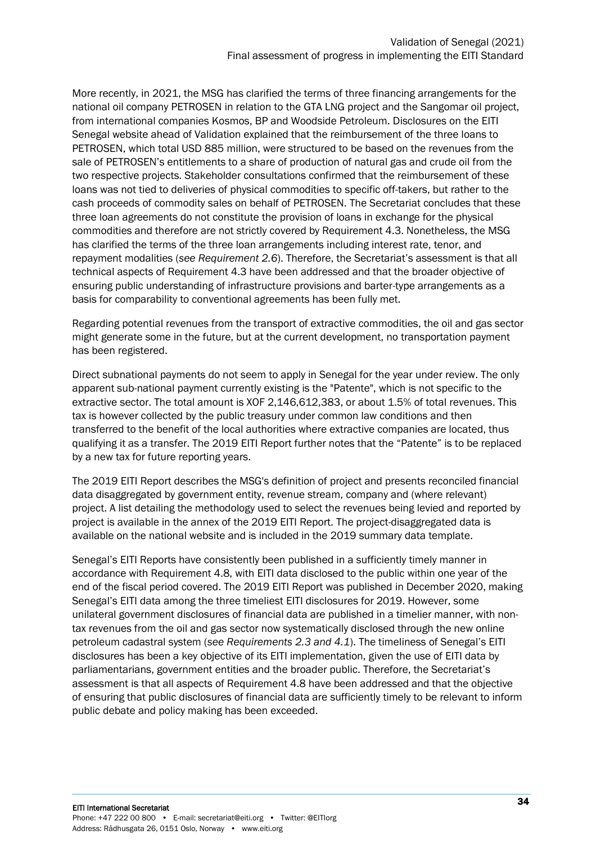More recently, in 2021, the MSG has clarified the terms of three financing arrangements for the national oil company PETROSEN in relation to the GTA LNG project and the Sangomar oil project, from international companies Kosmos, BP and Woodside Petroleum. Disclosures on the EITI Senegal website ahead of Validation explained that the reimbursement of the three loans to PETROSEN, which total USD 885 million, were structured to be based on the revenues from the sale of PETROSEN's entitlements to a share of production of natural gas and crude oil from the two respective projects. Stakeholder consultations confirmed that the reimbursement of these loans was not tied to deliveries of physical commodities to specific off-takers, but rather to the cash proceeds of commodity sales on behalf of PETROSEN. The Secretariat concludes that these three loan agreements do not constitute the provision of loans in exchange for the physical commodities and therefore are not strictly covered by Requirement 4.3. Nonetheless, the MSG has clarified the terms of the three loan arrangements including interest rate, tenor, and repayment modalities (*see Requirement 2.6*). Therefore, the Secretariat's assessment is that all technical aspects of Requirement 4.3 have been addressed and that the broader objective of ensuring public understanding of infrastructure provisions and barter-type arrangements as a basis for comparability to conventional agreements has been fully met.

Regarding potential revenues from the transport of extractive commodities, the oil and gas sector might generate some in the future, but at the current development, no transportation payment has been registered.

Direct subnational payments do not seem to apply in Senegal for the year under review. The only apparent sub-national payment currently existing is the "Patente", which is not specific to the extractive sector. The total amount is XOF 2,146,612,383, or about 1.5% of total revenues. This tax is however collected by the public treasury under common law conditions and then transferred to the benefit of the local authorities where extractive companies are located, thus qualifying it as a transfer. The 2019 EITI Report further notes that the "Patente" is to be replaced by a new tax for future reporting years.

The 2019 EITI Report describes the MSG's definition of project and presents reconciled financial data disaggregated by government entity, revenue stream, company and (where relevant) project. A list detailing the methodology used to select the revenues being levied and reported by project is available in the annex of the 2019 EITI Report. The project-disaggregated data is available on the national website and is included in the 2019 summary data template.

Senegal's EITI Reports have consistently been published in a sufficiently timely manner in accordance with Requirement 4.8, with EITI data disclosed to the public within one year of the end of the fiscal period covered. The 2019 EITI Report was published in December 2020, making Senegal's EITI data among the three timeliest EITI disclosures for 2019. However, some unilateral government disclosures of financial data are published in a timelier manner, with nontax revenues from the oil and gas sector now systematically disclosed through the new online petroleum cadastral system (*see Requirements 2.3 and 4.1*). The timeliness of Senegal's EITI disclosures has been a key objective of its EITI implementation, given the use of EITI data by parliamentarians, government entities and the broader public. Therefore, the Secretariat's assessment is that all aspects of Requirement 4.8 have been addressed and that the objective of ensuring that public disclosures of financial data are sufficiently timely to be relevant to inform public debate and policy making has been exceeded.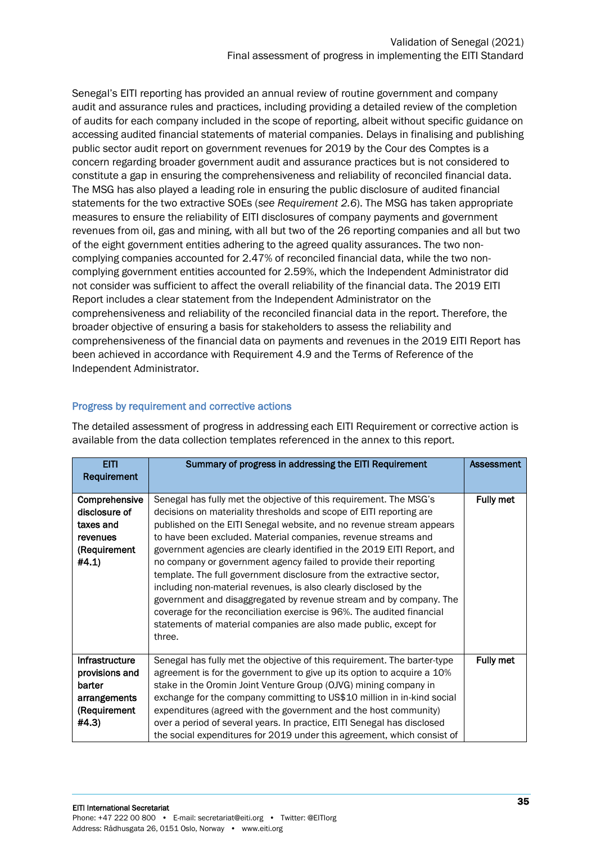Senegal's EITI reporting has provided an annual review of routine government and company audit and assurance rules and practices, including providing a detailed review of the completion of audits for each company included in the scope of reporting, albeit without specific guidance on accessing audited financial statements of material companies. Delays in finalising and publishing public sector audit report on government revenues for 2019 by the Cour des Comptes is a concern regarding broader government audit and assurance practices but is not considered to constitute a gap in ensuring the comprehensiveness and reliability of reconciled financial data. The MSG has also played a leading role in ensuring the public disclosure of audited financial statements for the two extractive SOEs (*see Requirement 2.6*). The MSG has taken appropriate measures to ensure the reliability of EITI disclosures of company payments and government revenues from oil, gas and mining, with all but two of the 26 reporting companies and all but two of the eight government entities adhering to the agreed quality assurances. The two noncomplying companies accounted for 2.47% of reconciled financial data, while the two noncomplying government entities accounted for 2.59%, which the Independent Administrator did not consider was sufficient to affect the overall reliability of the financial data. The 2019 EITI Report includes a clear statement from the Independent Administrator on the comprehensiveness and reliability of the reconciled financial data in the report. Therefore, the broader objective of ensuring a basis for stakeholders to assess the reliability and comprehensiveness of the financial data on payments and revenues in the 2019 EITI Report has been achieved in accordance with Requirement 4.9 and the Terms of Reference of the Independent Administrator.

#### Progress by requirement and corrective actions

The detailed assessment of progress in addressing each EITI Requirement or corrective action is available from the data collection templates referenced in the annex to this report.

| <b>EITI</b><br>Requirement                                                          | Summary of progress in addressing the EITI Requirement                                                                                                                                                                                                                                                                                                                                                                                                                                                                                                                                                                                                                                                                                                                                                          | Assessment       |
|-------------------------------------------------------------------------------------|-----------------------------------------------------------------------------------------------------------------------------------------------------------------------------------------------------------------------------------------------------------------------------------------------------------------------------------------------------------------------------------------------------------------------------------------------------------------------------------------------------------------------------------------------------------------------------------------------------------------------------------------------------------------------------------------------------------------------------------------------------------------------------------------------------------------|------------------|
| Comprehensive<br>disclosure of<br>taxes and<br>revenues<br>(Requirement<br>#4.1)    | Senegal has fully met the objective of this requirement. The MSG's<br>decisions on materiality thresholds and scope of EITI reporting are<br>published on the EITI Senegal website, and no revenue stream appears<br>to have been excluded. Material companies, revenue streams and<br>government agencies are clearly identified in the 2019 EITI Report, and<br>no company or government agency failed to provide their reporting<br>template. The full government disclosure from the extractive sector,<br>including non-material revenues, is also clearly disclosed by the<br>government and disaggregated by revenue stream and by company. The<br>coverage for the reconciliation exercise is 96%. The audited financial<br>statements of material companies are also made public, except for<br>three. | Fully met        |
| Infrastructure<br>provisions and<br>barter<br>arrangements<br>(Requirement<br>#4.3) | Senegal has fully met the objective of this requirement. The barter-type<br>agreement is for the government to give up its option to acquire a 10%<br>stake in the Oromin Joint Venture Group (OJVG) mining company in<br>exchange for the company committing to US\$10 million in in-kind social<br>expenditures (agreed with the government and the host community)<br>over a period of several years. In practice, EITI Senegal has disclosed<br>the social expenditures for 2019 under this agreement, which consist of                                                                                                                                                                                                                                                                                     | <b>Fully met</b> |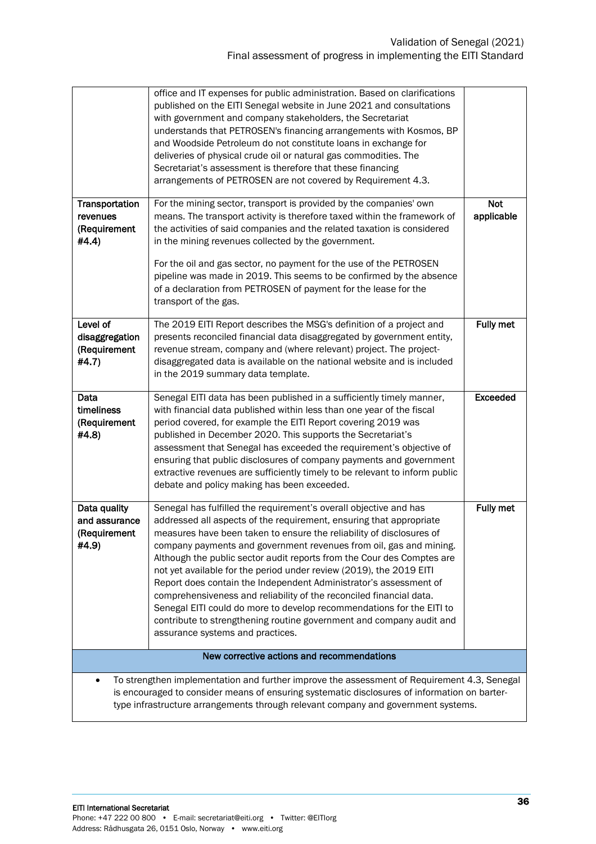|                                                                                                                                                                                             | office and IT expenses for public administration. Based on clarifications<br>published on the EITI Senegal website in June 2021 and consultations<br>with government and company stakeholders, the Secretariat<br>understands that PETROSEN's financing arrangements with Kosmos, BP<br>and Woodside Petroleum do not constitute loans in exchange for<br>deliveries of physical crude oil or natural gas commodities. The<br>Secretariat's assessment is therefore that these financing<br>arrangements of PETROSEN are not covered by Requirement 4.3.                                                                                                                                                                                                                 |                          |
|---------------------------------------------------------------------------------------------------------------------------------------------------------------------------------------------|--------------------------------------------------------------------------------------------------------------------------------------------------------------------------------------------------------------------------------------------------------------------------------------------------------------------------------------------------------------------------------------------------------------------------------------------------------------------------------------------------------------------------------------------------------------------------------------------------------------------------------------------------------------------------------------------------------------------------------------------------------------------------|--------------------------|
| Transportation<br>revenues<br>(Requirement<br>#4.4)                                                                                                                                         | For the mining sector, transport is provided by the companies' own<br>means. The transport activity is therefore taxed within the framework of<br>the activities of said companies and the related taxation is considered<br>in the mining revenues collected by the government.<br>For the oil and gas sector, no payment for the use of the PETROSEN<br>pipeline was made in 2019. This seems to be confirmed by the absence<br>of a declaration from PETROSEN of payment for the lease for the<br>transport of the gas.                                                                                                                                                                                                                                               | <b>Not</b><br>applicable |
| Level of<br>disaggregation<br>(Requirement<br>#4.7)                                                                                                                                         | The 2019 EITI Report describes the MSG's definition of a project and<br>presents reconciled financial data disaggregated by government entity,<br>revenue stream, company and (where relevant) project. The project-<br>disaggregated data is available on the national website and is included<br>in the 2019 summary data template.                                                                                                                                                                                                                                                                                                                                                                                                                                    | <b>Fully met</b>         |
| Data<br>timeliness<br>(Requirement<br>#4.8)                                                                                                                                                 | Senegal EITI data has been published in a sufficiently timely manner,<br>with financial data published within less than one year of the fiscal<br>period covered, for example the EITI Report covering 2019 was<br>published in December 2020. This supports the Secretariat's<br>assessment that Senegal has exceeded the requirement's objective of<br>ensuring that public disclosures of company payments and government<br>extractive revenues are sufficiently timely to be relevant to inform public<br>debate and policy making has been exceeded.                                                                                                                                                                                                               | <b>Exceeded</b>          |
| Data quality<br>and assurance<br>(Requirement<br>#4.9)                                                                                                                                      | Senegal has fulfilled the requirement's overall objective and has<br>addressed all aspects of the requirement, ensuring that appropriate<br>measures have been taken to ensure the reliability of disclosures of<br>company payments and government revenues from oil, gas and mining.<br>Although the public sector audit reports from the Cour des Comptes are<br>not yet available for the period under review (2019), the 2019 EITI<br>Report does contain the Independent Administrator's assessment of<br>comprehensiveness and reliability of the reconciled financial data.<br>Senegal EITI could do more to develop recommendations for the EITI to<br>contribute to strengthening routine government and company audit and<br>assurance systems and practices. | <b>Fully met</b>         |
| New corrective actions and recommendations                                                                                                                                                  |                                                                                                                                                                                                                                                                                                                                                                                                                                                                                                                                                                                                                                                                                                                                                                          |                          |
| To strengthen implementation and further improve the assessment of Requirement 4.3, Senegal<br>is encouraged to consider means of ensuring systematic disclosures of information on barter- |                                                                                                                                                                                                                                                                                                                                                                                                                                                                                                                                                                                                                                                                                                                                                                          |                          |
| type infrastructure arrangements through relevant company and government systems.                                                                                                           |                                                                                                                                                                                                                                                                                                                                                                                                                                                                                                                                                                                                                                                                                                                                                                          |                          |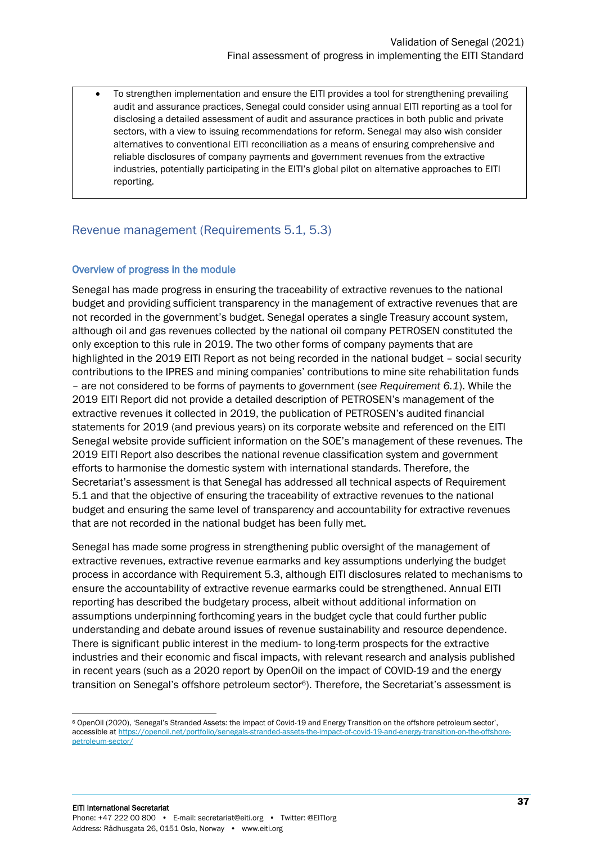• To strengthen implementation and ensure the EITI provides a tool for strengthening prevailing audit and assurance practices, Senegal could consider using annual EITI reporting as a tool for disclosing a detailed assessment of audit and assurance practices in both public and private sectors, with a view to issuing recommendations for reform. Senegal may also wish consider alternatives to conventional EITI reconciliation as a means of ensuring comprehensive and reliable disclosures of company payments and government revenues from the extractive industries, potentially participating in the EITI's global pilot on alternative approaches to EITI reporting.

#### <span id="page-36-0"></span>Revenue management (Requirements 5.1, 5.3)

#### Overview of progress in the module

Senegal has made progress in ensuring the traceability of extractive revenues to the national budget and providing sufficient transparency in the management of extractive revenues that are not recorded in the government's budget. Senegal operates a single Treasury account system, although oil and gas revenues collected by the national oil company PETROSEN constituted the only exception to this rule in 2019. The two other forms of company payments that are highlighted in the 2019 EITI Report as not being recorded in the national budget – social security contributions to the IPRES and mining companies' contributions to mine site rehabilitation funds – are not considered to be forms of payments to government (*see Requirement 6.1*). While the 2019 EITI Report did not provide a detailed description of PETROSEN's management of the extractive revenues it collected in 2019, the publication of PETROSEN's audited financial statements for 2019 (and previous years) on its corporate website and referenced on the EITI Senegal website provide sufficient information on the SOE's management of these revenues. The 2019 EITI Report also describes the national revenue classification system and government efforts to harmonise the domestic system with international standards. Therefore, the Secretariat's assessment is that Senegal has addressed all technical aspects of Requirement 5.1 and that the objective of ensuring the traceability of extractive revenues to the national budget and ensuring the same level of transparency and accountability for extractive revenues that are not recorded in the national budget has been fully met.

Senegal has made some progress in strengthening public oversight of the management of extractive revenues, extractive revenue earmarks and key assumptions underlying the budget process in accordance with Requirement 5.3, although EITI disclosures related to mechanisms to ensure the accountability of extractive revenue earmarks could be strengthened. Annual EITI reporting has described the budgetary process, albeit without additional information on assumptions underpinning forthcoming years in the budget cycle that could further public understanding and debate around issues of revenue sustainability and resource dependence. There is significant public interest in the medium- to long-term prospects for the extractive industries and their economic and fiscal impacts, with relevant research and analysis published in recent years (such as a 2020 report by OpenOil on the impact of COVID-19 and the energy transition on Senegal's offshore petroleum sector<sup>6</sup>). Therefore, the Secretariat's assessment is

<sup>6</sup> OpenOil (2020), 'Senegal's Stranded Assets: the impact of Covid-19 and Energy Transition on the offshore petroleum sector', accessible a[t https://openoil.net/portfolio/senegals-stranded-assets-the-impact-of-covid-19-and-energy-transition-on-the-offshore](https://openoil.net/portfolio/senegals-stranded-assets-the-impact-of-covid-19-and-energy-transition-on-the-offshore-petroleum-sector/)[petroleum-sector/](https://openoil.net/portfolio/senegals-stranded-assets-the-impact-of-covid-19-and-energy-transition-on-the-offshore-petroleum-sector/)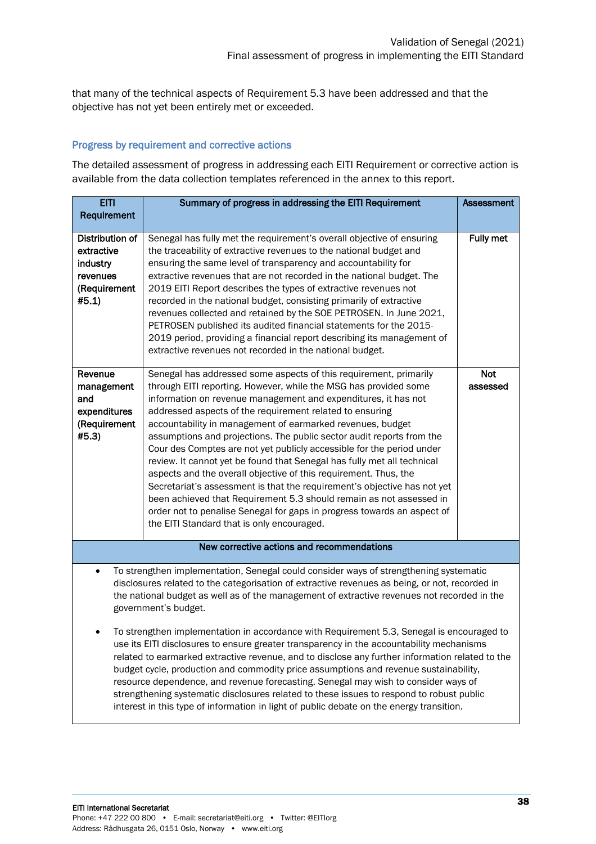that many of the technical aspects of Requirement 5.3 have been addressed and that the objective has not yet been entirely met or exceeded.

#### Progress by requirement and corrective actions

The detailed assessment of progress in addressing each EITI Requirement or corrective action is available from the data collection templates referenced in the annex to this report.

| <b>EITI</b>                                                                                                                                                                                                                                                                                                                                                                                                                                                                                                                                                                                                                                                         | Summary of progress in addressing the EITI Requirement                                                                                                                                                                                                                                                                                                                                                                                                                                                                                                                                                                                                                                                                                                                                                                                                                                                         | <b>Assessment</b>      |
|---------------------------------------------------------------------------------------------------------------------------------------------------------------------------------------------------------------------------------------------------------------------------------------------------------------------------------------------------------------------------------------------------------------------------------------------------------------------------------------------------------------------------------------------------------------------------------------------------------------------------------------------------------------------|----------------------------------------------------------------------------------------------------------------------------------------------------------------------------------------------------------------------------------------------------------------------------------------------------------------------------------------------------------------------------------------------------------------------------------------------------------------------------------------------------------------------------------------------------------------------------------------------------------------------------------------------------------------------------------------------------------------------------------------------------------------------------------------------------------------------------------------------------------------------------------------------------------------|------------------------|
| Requirement                                                                                                                                                                                                                                                                                                                                                                                                                                                                                                                                                                                                                                                         |                                                                                                                                                                                                                                                                                                                                                                                                                                                                                                                                                                                                                                                                                                                                                                                                                                                                                                                |                        |
| Distribution of<br>extractive<br>industry<br>revenues<br>(Requirement<br>#5.1)                                                                                                                                                                                                                                                                                                                                                                                                                                                                                                                                                                                      | Senegal has fully met the requirement's overall objective of ensuring<br>the traceability of extractive revenues to the national budget and<br>ensuring the same level of transparency and accountability for<br>extractive revenues that are not recorded in the national budget. The<br>2019 EITI Report describes the types of extractive revenues not<br>recorded in the national budget, consisting primarily of extractive<br>revenues collected and retained by the SOE PETROSEN. In June 2021,<br>PETROSEN published its audited financial statements for the 2015-<br>2019 period, providing a financial report describing its management of<br>extractive revenues not recorded in the national budget.                                                                                                                                                                                              | <b>Fully met</b>       |
| Revenue<br>management<br>and<br>expenditures<br>(Requirement<br>#5.3)                                                                                                                                                                                                                                                                                                                                                                                                                                                                                                                                                                                               | Senegal has addressed some aspects of this requirement, primarily<br>through EITI reporting. However, while the MSG has provided some<br>information on revenue management and expenditures, it has not<br>addressed aspects of the requirement related to ensuring<br>accountability in management of earmarked revenues, budget<br>assumptions and projections. The public sector audit reports from the<br>Cour des Comptes are not yet publicly accessible for the period under<br>review. It cannot yet be found that Senegal has fully met all technical<br>aspects and the overall objective of this requirement. Thus, the<br>Secretariat's assessment is that the requirement's objective has not yet<br>been achieved that Requirement 5.3 should remain as not assessed in<br>order not to penalise Senegal for gaps in progress towards an aspect of<br>the EITI Standard that is only encouraged. | <b>Not</b><br>assessed |
|                                                                                                                                                                                                                                                                                                                                                                                                                                                                                                                                                                                                                                                                     | New corrective actions and recommendations                                                                                                                                                                                                                                                                                                                                                                                                                                                                                                                                                                                                                                                                                                                                                                                                                                                                     |                        |
| To strengthen implementation, Senegal could consider ways of strengthening systematic<br>$\bullet$<br>disclosures related to the categorisation of extractive revenues as being, or not, recorded in<br>the national budget as well as of the management of extractive revenues not recorded in the<br>government's budget.                                                                                                                                                                                                                                                                                                                                         |                                                                                                                                                                                                                                                                                                                                                                                                                                                                                                                                                                                                                                                                                                                                                                                                                                                                                                                |                        |
| To strengthen implementation in accordance with Requirement 5.3, Senegal is encouraged to<br>٠<br>use its EITI disclosures to ensure greater transparency in the accountability mechanisms<br>related to earmarked extractive revenue, and to disclose any further information related to the<br>budget cycle, production and commodity price assumptions and revenue sustainability,<br>resource dependence, and revenue forecasting. Senegal may wish to consider ways of<br>strengthening systematic disclosures related to these issues to respond to robust public<br>interest in this type of information in light of public debate on the energy transition. |                                                                                                                                                                                                                                                                                                                                                                                                                                                                                                                                                                                                                                                                                                                                                                                                                                                                                                                |                        |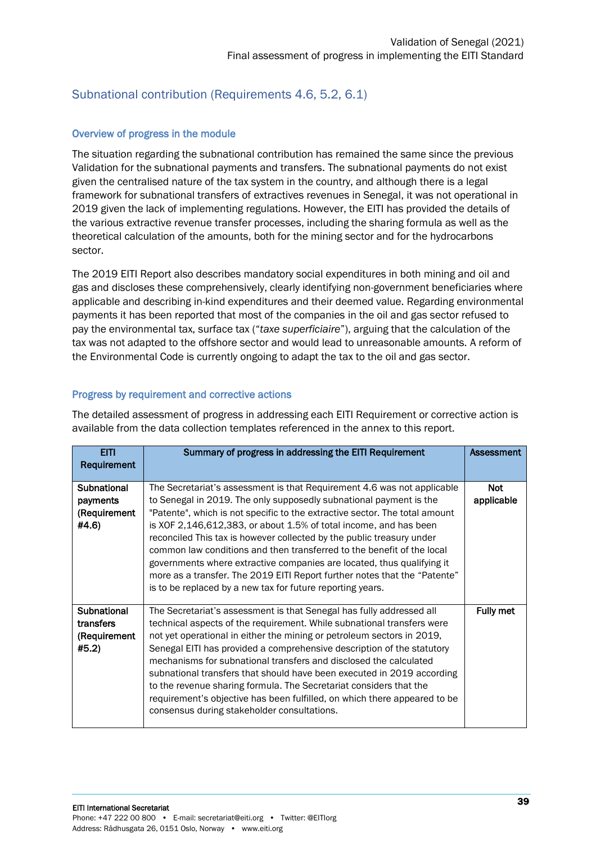#### <span id="page-38-0"></span>Subnational contribution (Requirements 4.6, 5.2, 6.1)

#### Overview of progress in the module

The situation regarding the subnational contribution has remained the same since the previous Validation for the subnational payments and transfers. The subnational payments do not exist given the centralised nature of the tax system in the country, and although there is a legal framework for subnational transfers of extractives revenues in Senegal, it was not operational in 2019 given the lack of implementing regulations. However, the EITI has provided the details of the various extractive revenue transfer processes, including the sharing formula as well as the theoretical calculation of the amounts, both for the mining sector and for the hydrocarbons sector.

The 2019 EITI Report also describes mandatory social expenditures in both mining and oil and gas and discloses these comprehensively, clearly identifying non-government beneficiaries where applicable and describing in-kind expenditures and their deemed value. Regarding environmental payments it has been reported that most of the companies in the oil and gas sector refused to pay the environmental tax, surface tax ("*taxe superficiaire*"), arguing that the calculation of the tax was not adapted to the offshore sector and would lead to unreasonable amounts. A reform of the Environmental Code is currently ongoing to adapt the tax to the oil and gas sector.

#### Progress by requirement and corrective actions

The detailed assessment of progress in addressing each EITI Requirement or corrective action is available from the data collection templates referenced in the annex to this report.

| <b>EITI</b><br>Requirement                        | Summary of progress in addressing the EITI Requirement                                                                                                                                                                                                                                                                                                                                                                                                                                                                                                                                                                                                                    | Assessment               |
|---------------------------------------------------|---------------------------------------------------------------------------------------------------------------------------------------------------------------------------------------------------------------------------------------------------------------------------------------------------------------------------------------------------------------------------------------------------------------------------------------------------------------------------------------------------------------------------------------------------------------------------------------------------------------------------------------------------------------------------|--------------------------|
| Subnational<br>payments<br>(Requirement<br>#4.6)  | The Secretariat's assessment is that Requirement 4.6 was not applicable<br>to Senegal in 2019. The only supposedly subnational payment is the<br>"Patente", which is not specific to the extractive sector. The total amount<br>is XOF 2,146,612,383, or about 1.5% of total income, and has been<br>reconciled This tax is however collected by the public treasury under<br>common law conditions and then transferred to the benefit of the local<br>governments where extractive companies are located, thus qualifying it<br>more as a transfer. The 2019 EITI Report further notes that the "Patente"<br>is to be replaced by a new tax for future reporting years. | <b>Not</b><br>applicable |
| Subnational<br>transfers<br>(Requirement<br>#5.2) | The Secretariat's assessment is that Senegal has fully addressed all<br>technical aspects of the requirement. While subnational transfers were<br>not yet operational in either the mining or petroleum sectors in 2019,<br>Senegal EITI has provided a comprehensive description of the statutory<br>mechanisms for subnational transfers and disclosed the calculated<br>subnational transfers that should have been executed in 2019 according<br>to the revenue sharing formula. The Secretariat considers that the<br>requirement's objective has been fulfilled, on which there appeared to be<br>consensus during stakeholder consultations.                       | <b>Fully met</b>         |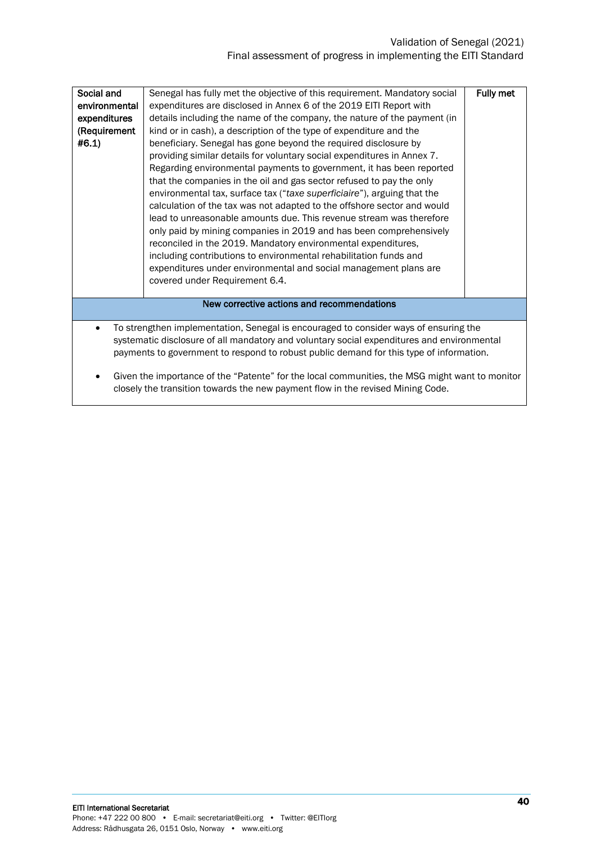#### Validation of Senegal (2021) Final assessment of progress in implementing the EITI Standard

<span id="page-39-0"></span>

| Social and                                                                                     | Senegal has fully met the objective of this requirement. Mandatory social | Fully met |  |  |
|------------------------------------------------------------------------------------------------|---------------------------------------------------------------------------|-----------|--|--|
| environmental                                                                                  | expenditures are disclosed in Annex 6 of the 2019 EITI Report with        |           |  |  |
| expenditures                                                                                   | details including the name of the company, the nature of the payment (in  |           |  |  |
| (Requirement                                                                                   | kind or in cash), a description of the type of expenditure and the        |           |  |  |
| #6.1)                                                                                          | beneficiary. Senegal has gone beyond the required disclosure by           |           |  |  |
|                                                                                                | providing similar details for voluntary social expenditures in Annex 7.   |           |  |  |
|                                                                                                | Regarding environmental payments to government, it has been reported      |           |  |  |
|                                                                                                | that the companies in the oil and gas sector refused to pay the only      |           |  |  |
|                                                                                                | environmental tax, surface tax ("taxe superficiaire"), arguing that the   |           |  |  |
|                                                                                                | calculation of the tax was not adapted to the offshore sector and would   |           |  |  |
|                                                                                                | lead to unreasonable amounts due. This revenue stream was therefore       |           |  |  |
|                                                                                                | only paid by mining companies in 2019 and has been comprehensively        |           |  |  |
|                                                                                                | reconciled in the 2019. Mandatory environmental expenditures,             |           |  |  |
|                                                                                                | including contributions to environmental rehabilitation funds and         |           |  |  |
|                                                                                                | expenditures under environmental and social management plans are          |           |  |  |
|                                                                                                | covered under Requirement 6.4.                                            |           |  |  |
|                                                                                                |                                                                           |           |  |  |
| New corrective actions and recommendations                                                     |                                                                           |           |  |  |
|                                                                                                |                                                                           |           |  |  |
| To strengthen implementation, Senegal is encouraged to consider ways of ensuring the<br>٠      |                                                                           |           |  |  |
| systematic disclosure of all mandatory and voluntary social expenditures and environmental     |                                                                           |           |  |  |
| payments to government to respond to robust public demand for this type of information.        |                                                                           |           |  |  |
|                                                                                                |                                                                           |           |  |  |
| Given the importance of the "Patente" for the local communities, the MSG might want to monitor |                                                                           |           |  |  |
| closely the transition towards the new payment flow in the revised Mining Code.                |                                                                           |           |  |  |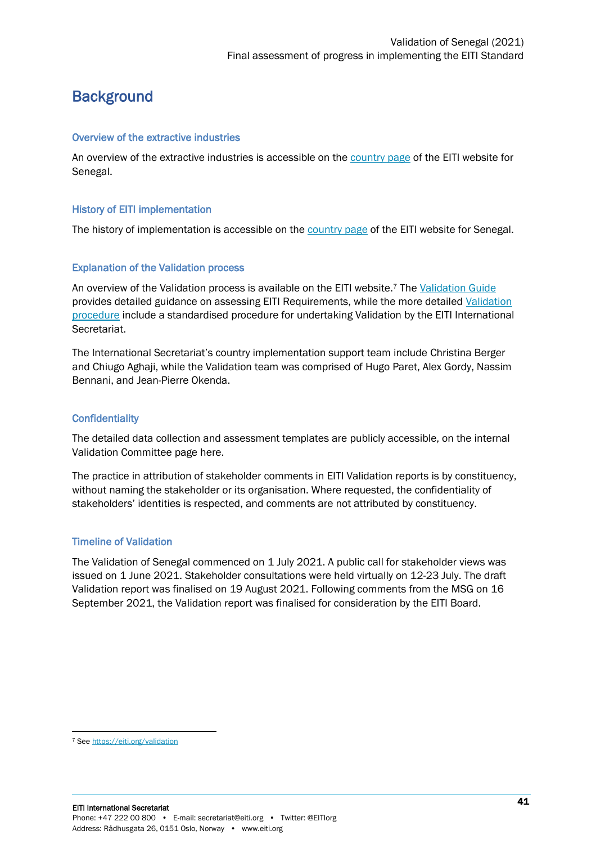## **Background**

#### Overview of the extractive industries

An overview of the extractive industries is accessible on th[e country page](https://eiti.org/senegal#overview) of the EITI website for Senegal.

#### History of EITI implementation

The history of implementation is accessible on the [country page](https://eiti.org/senegal#implementation-) of the EITI website for Senegal.

#### Explanation of the Validation process

An overview of the Validation process is available on the EITI website.<sup>7</sup> The [Validation Guide](https://eiti.org/document/validation-guide) provides detailed guidance on assessing EITI Requirements, while the more detailed Validation [procedure](https://eiti.org/document/validation-procedures) include a standardised procedure for undertaking Validation by the EITI International Secretariat.

The International Secretariat's country implementation support team include Christina Berger and Chiugo Aghaji, while the Validation team was comprised of Hugo Paret, Alex Gordy, Nassim Bennani, and Jean-Pierre Okenda.

#### **Confidentiality**

The detailed data collection and assessment templates are publicly accessible, on the internal Validation Committee page here.

The practice in attribution of stakeholder comments in EITI Validation reports is by constituency, without naming the stakeholder or its organisation. Where requested, the confidentiality of stakeholders' identities is respected, and comments are not attributed by constituency.

#### Timeline of Validation

The Validation of Senegal commenced on 1 July 2021. A public call for stakeholder views was issued on 1 June 2021. Stakeholder consultations were held virtually on 12-23 July. The draft Validation report was finalised on 19 August 2021. Following comments from the MSG on 16 September 2021, the Validation report was finalised for consideration by the EITI Board.

<sup>7</sup> Se[e https://eiti.org/validation](https://eiti.org/validation)